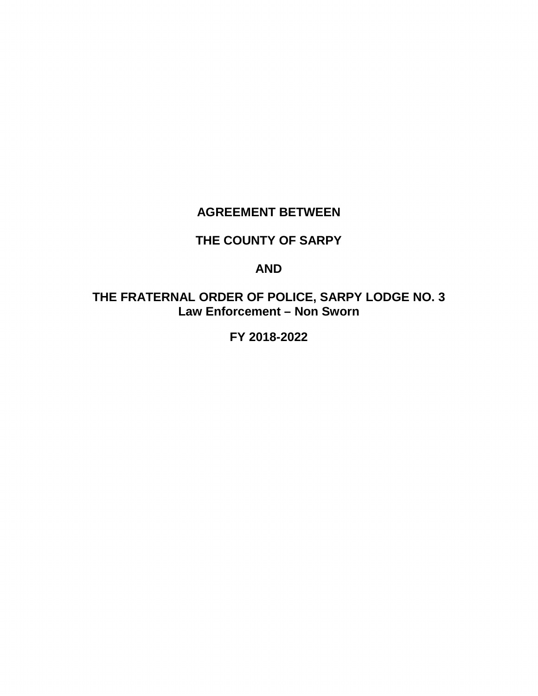# **AGREEMENT BETWEEN**

# **THE COUNTY OF SARPY**

# **AND**

**THE FRATERNAL ORDER OF POLICE, SARPY LODGE NO. 3 Law Enforcement – Non Sworn**

**FY 2018-2022**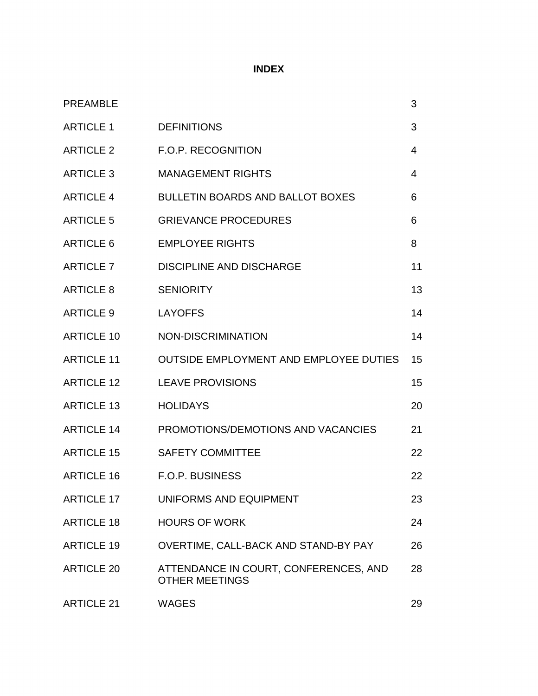# **INDEX**

| <b>PREAMBLE</b>   |                                                                | 3              |
|-------------------|----------------------------------------------------------------|----------------|
| <b>ARTICLE 1</b>  | <b>DEFINITIONS</b>                                             | 3              |
| <b>ARTICLE 2</b>  | F.O.P. RECOGNITION                                             | $\overline{4}$ |
| <b>ARTICLE 3</b>  | <b>MANAGEMENT RIGHTS</b>                                       | $\overline{4}$ |
| <b>ARTICLE 4</b>  | <b>BULLETIN BOARDS AND BALLOT BOXES</b>                        | 6              |
| <b>ARTICLE 5</b>  | <b>GRIEVANCE PROCEDURES</b>                                    | 6              |
| ARTICLE 6         | <b>EMPLOYEE RIGHTS</b>                                         | 8              |
| ARTICLE 7         | <b>DISCIPLINE AND DISCHARGE</b>                                | 11             |
| <b>ARTICLE 8</b>  | <b>SENIORITY</b>                                               | 13             |
| <b>ARTICLE 9</b>  | <b>LAYOFFS</b>                                                 | 14             |
| <b>ARTICLE 10</b> | NON-DISCRIMINATION                                             | 14             |
| <b>ARTICLE 11</b> | <b>OUTSIDE EMPLOYMENT AND EMPLOYEE DUTIES</b>                  | 15             |
| <b>ARTICLE 12</b> | <b>LEAVE PROVISIONS</b>                                        | 15             |
| <b>ARTICLE 13</b> | <b>HOLIDAYS</b>                                                | 20             |
| <b>ARTICLE 14</b> | PROMOTIONS/DEMOTIONS AND VACANCIES                             | 21             |
| <b>ARTICLE 15</b> | <b>SAFETY COMMITTEE</b>                                        | 22             |
| <b>ARTICLE 16</b> | <b>F.O.P. BUSINESS</b>                                         | 22             |
| <b>ARTICLE 17</b> | UNIFORMS AND EQUIPMENT                                         | 23             |
| <b>ARTICLE 18</b> | <b>HOURS OF WORK</b>                                           | 24             |
| <b>ARTICLE 19</b> | OVERTIME, CALL-BACK AND STAND-BY PAY                           | 26             |
| <b>ARTICLE 20</b> | ATTENDANCE IN COURT, CONFERENCES, AND<br><b>OTHER MEETINGS</b> | 28             |
| <b>ARTICLE 21</b> | <b>WAGES</b>                                                   | 29             |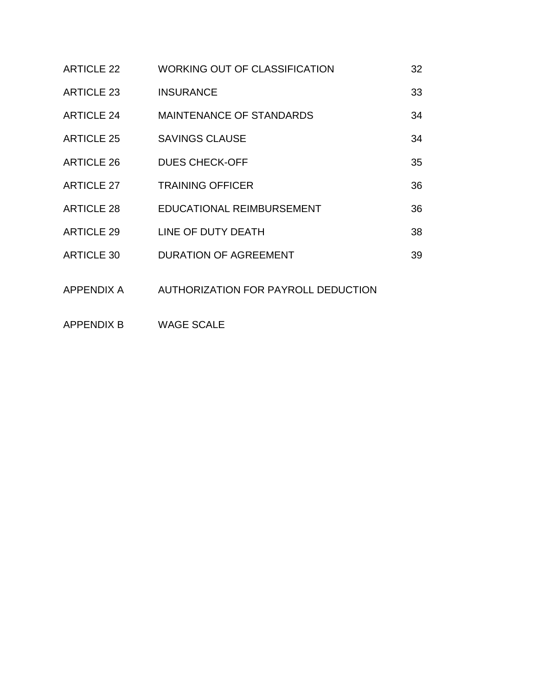| <b>ARTICLE 22</b> | <b>WORKING OUT OF CLASSIFICATION</b> | 32 |
|-------------------|--------------------------------------|----|
| <b>ARTICLE 23</b> | <b>INSURANCE</b>                     | 33 |
| <b>ARTICLE 24</b> | <b>MAINTENANCE OF STANDARDS</b>      | 34 |
| <b>ARTICLE 25</b> | <b>SAVINGS CLAUSE</b>                | 34 |
| <b>ARTICLE 26</b> | <b>DUES CHECK-OFF</b>                | 35 |
| <b>ARTICLE 27</b> | <b>TRAINING OFFICER</b>              | 36 |
| <b>ARTICLE 28</b> | EDUCATIONAL REIMBURSEMENT            | 36 |
| <b>ARTICLE 29</b> | LINE OF DUTY DEATH                   | 38 |
| <b>ARTICLE 30</b> | <b>DURATION OF AGREEMENT</b>         | 39 |
| APPENDIX A        | AUTHORIZATION FOR PAYROLL DEDUCTION  |    |

APPENDIX B WAGE SCALE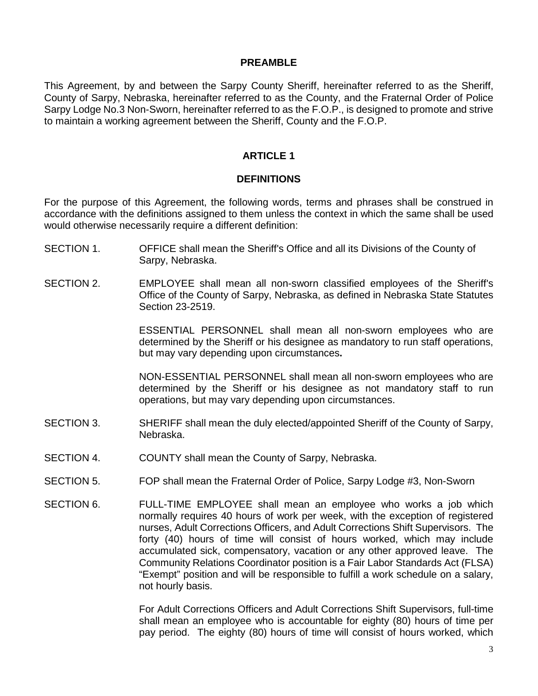#### **PREAMBLE**

This Agreement, by and between the Sarpy County Sheriff, hereinafter referred to as the Sheriff, County of Sarpy, Nebraska, hereinafter referred to as the County, and the Fraternal Order of Police Sarpy Lodge No.3 Non-Sworn, hereinafter referred to as the F.O.P., is designed to promote and strive to maintain a working agreement between the Sheriff, County and the F.O.P.

## **ARTICLE 1**

## **DEFINITIONS**

For the purpose of this Agreement, the following words, terms and phrases shall be construed in accordance with the definitions assigned to them unless the context in which the same shall be used would otherwise necessarily require a different definition:

- SECTION 1. OFFICE shall mean the Sheriff's Office and all its Divisions of the County of Sarpy, Nebraska.
- SECTION 2. EMPLOYEE shall mean all non-sworn classified employees of the Sheriff's Office of the County of Sarpy, Nebraska, as defined in Nebraska State Statutes Section 23-2519.

ESSENTIAL PERSONNEL shall mean all non-sworn employees who are determined by the Sheriff or his designee as mandatory to run staff operations, but may vary depending upon circumstances**.** 

NON-ESSENTIAL PERSONNEL shall mean all non-sworn employees who are determined by the Sheriff or his designee as not mandatory staff to run operations, but may vary depending upon circumstances.

- SECTION 3. SHERIFF shall mean the duly elected/appointed Sheriff of the County of Sarpy, Nebraska.
- SECTION 4. COUNTY shall mean the County of Sarpy, Nebraska.
- SECTION 5. FOP shall mean the Fraternal Order of Police, Sarpy Lodge #3, Non-Sworn
- SECTION 6. FULL-TIME EMPLOYEE shall mean an employee who works a job which normally requires 40 hours of work per week, with the exception of registered nurses, Adult Corrections Officers, and Adult Corrections Shift Supervisors. The forty (40) hours of time will consist of hours worked, which may include accumulated sick, compensatory, vacation or any other approved leave. The Community Relations Coordinator position is a Fair Labor Standards Act (FLSA) "Exempt" position and will be responsible to fulfill a work schedule on a salary, not hourly basis.

For Adult Corrections Officers and Adult Corrections Shift Supervisors, full-time shall mean an employee who is accountable for eighty (80) hours of time per pay period. The eighty (80) hours of time will consist of hours worked, which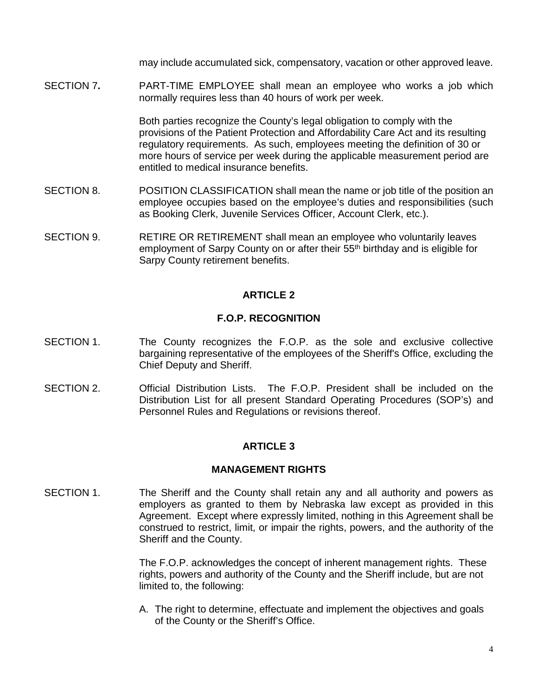may include accumulated sick, compensatory, vacation or other approved leave.

SECTION 7**.** PART-TIME EMPLOYEE shall mean an employee who works a job which normally requires less than 40 hours of work per week.

> Both parties recognize the County's legal obligation to comply with the provisions of the Patient Protection and Affordability Care Act and its resulting regulatory requirements. As such, employees meeting the definition of 30 or more hours of service per week during the applicable measurement period are entitled to medical insurance benefits.

- SECTION 8. POSITION CLASSIFICATION shall mean the name or job title of the position an employee occupies based on the employee's duties and responsibilities (such as Booking Clerk, Juvenile Services Officer, Account Clerk, etc.).
- SECTION 9. RETIRE OR RETIREMENT shall mean an employee who voluntarily leaves employment of Sarpy County on or after their 55<sup>th</sup> birthday and is eligible for Sarpy County retirement benefits.

# **ARTICLE 2**

## **F.O.P. RECOGNITION**

- SECTION 1. The County recognizes the F.O.P. as the sole and exclusive collective bargaining representative of the employees of the Sheriff's Office, excluding the Chief Deputy and Sheriff.
- SECTION 2. Official Distribution Lists. The F.O.P. President shall be included on the Distribution List for all present Standard Operating Procedures (SOP's) and Personnel Rules and Regulations or revisions thereof.

# **ARTICLE 3**

## **MANAGEMENT RIGHTS**

SECTION 1. The Sheriff and the County shall retain any and all authority and powers as employers as granted to them by Nebraska law except as provided in this Agreement. Except where expressly limited, nothing in this Agreement shall be construed to restrict, limit, or impair the rights, powers, and the authority of the Sheriff and the County.

> The F.O.P. acknowledges the concept of inherent management rights. These rights, powers and authority of the County and the Sheriff include, but are not limited to, the following:

> A. The right to determine, effectuate and implement the objectives and goals of the County or the Sheriff's Office.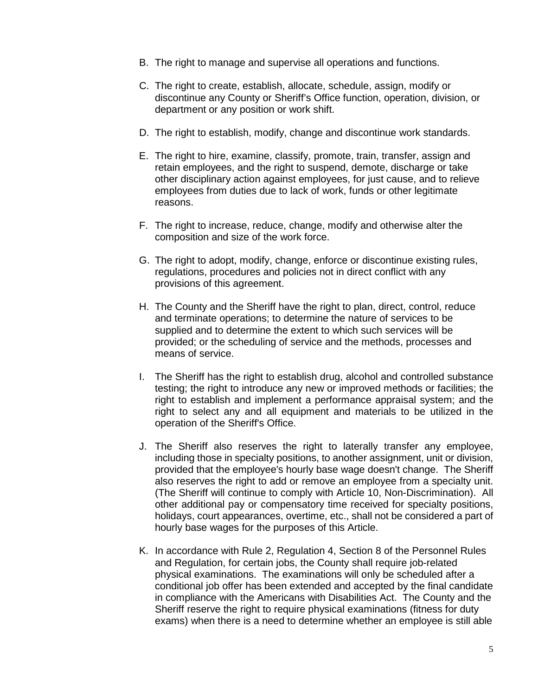- B. The right to manage and supervise all operations and functions.
- C. The right to create, establish, allocate, schedule, assign, modify or discontinue any County or Sheriff's Office function, operation, division, or department or any position or work shift.
- D. The right to establish, modify, change and discontinue work standards.
- E. The right to hire, examine, classify, promote, train, transfer, assign and retain employees, and the right to suspend, demote, discharge or take other disciplinary action against employees, for just cause, and to relieve employees from duties due to lack of work, funds or other legitimate reasons.
- F. The right to increase, reduce, change, modify and otherwise alter the composition and size of the work force.
- G. The right to adopt, modify, change, enforce or discontinue existing rules, regulations, procedures and policies not in direct conflict with any provisions of this agreement.
- H. The County and the Sheriff have the right to plan, direct, control, reduce and terminate operations; to determine the nature of services to be supplied and to determine the extent to which such services will be provided; or the scheduling of service and the methods, processes and means of service.
- I. The Sheriff has the right to establish drug, alcohol and controlled substance testing; the right to introduce any new or improved methods or facilities; the right to establish and implement a performance appraisal system; and the right to select any and all equipment and materials to be utilized in the operation of the Sheriff's Office.
- J. The Sheriff also reserves the right to laterally transfer any employee, including those in specialty positions, to another assignment, unit or division, provided that the employee's hourly base wage doesn't change. The Sheriff also reserves the right to add or remove an employee from a specialty unit. (The Sheriff will continue to comply with Article 10, Non-Discrimination). All other additional pay or compensatory time received for specialty positions, holidays, court appearances, overtime, etc., shall not be considered a part of hourly base wages for the purposes of this Article.
- K. In accordance with Rule 2, Regulation 4, Section 8 of the Personnel Rules and Regulation, for certain jobs, the County shall require job-related physical examinations. The examinations will only be scheduled after a conditional job offer has been extended and accepted by the final candidate in compliance with the Americans with Disabilities Act. The County and the Sheriff reserve the right to require physical examinations (fitness for duty exams) when there is a need to determine whether an employee is still able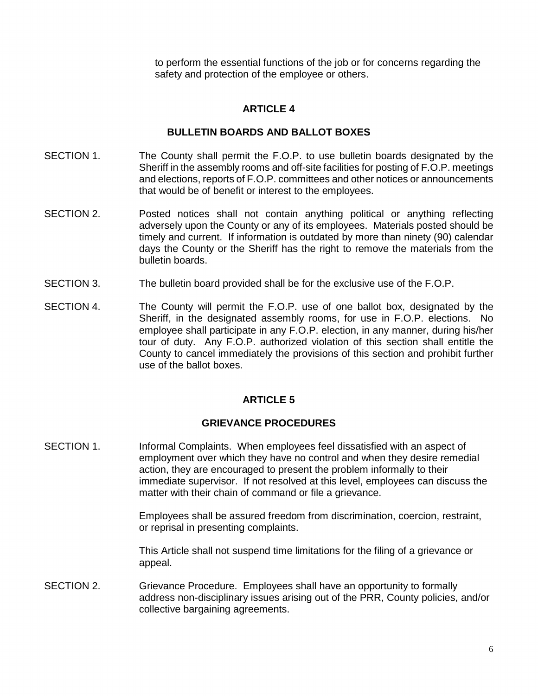to perform the essential functions of the job or for concerns regarding the safety and protection of the employee or others.

# **ARTICLE 4**

# **BULLETIN BOARDS AND BALLOT BOXES**

- SECTION 1. The County shall permit the F.O.P. to use bulletin boards designated by the Sheriff in the assembly rooms and off-site facilities for posting of F.O.P. meetings and elections, reports of F.O.P. committees and other notices or announcements that would be of benefit or interest to the employees.
- SECTION 2. Posted notices shall not contain anything political or anything reflecting adversely upon the County or any of its employees. Materials posted should be timely and current. If information is outdated by more than ninety (90) calendar days the County or the Sheriff has the right to remove the materials from the bulletin boards.
- SECTION 3. The bulletin board provided shall be for the exclusive use of the F.O.P.
- SECTION 4. The County will permit the F.O.P. use of one ballot box, designated by the Sheriff, in the designated assembly rooms, for use in F.O.P. elections. No employee shall participate in any F.O.P. election, in any manner, during his/her tour of duty. Any F.O.P. authorized violation of this section shall entitle the County to cancel immediately the provisions of this section and prohibit further use of the ballot boxes.

# **ARTICLE 5**

# **GRIEVANCE PROCEDURES**

SECTION 1. Informal Complaints. When employees feel dissatisfied with an aspect of employment over which they have no control and when they desire remedial action, they are encouraged to present the problem informally to their immediate supervisor. If not resolved at this level, employees can discuss the matter with their chain of command or file a grievance.

> Employees shall be assured freedom from discrimination, coercion, restraint, or reprisal in presenting complaints.

This Article shall not suspend time limitations for the filing of a grievance or appeal.

SECTION 2. Grievance Procedure. Employees shall have an opportunity to formally address non-disciplinary issues arising out of the PRR, County policies, and/or collective bargaining agreements.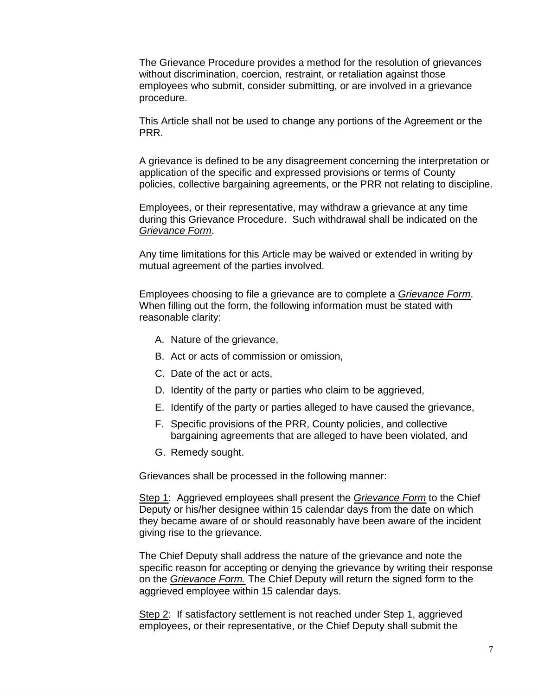The Grievance Procedure provides a method for the resolution of grievances without discrimination, coercion, restraint, or retaliation against those employees who submit, consider submitting, or are involved in a grievance procedure.

This Article shall not be used to change any portions of the Agreement or the PRR.

A grievance is defined to be any disagreement concerning the interpretation or application of the specific and expressed provisions or terms of County policies, collective bargaining agreements, or the PRR not relating to discipline.

Employees, or their representative, may withdraw a grievance at any time during this Grievance Procedure. Such withdrawal shall be indicated on the *Grievance Form*.

Any time limitations for this Article may be waived or extended in writing by mutual agreement of the parties involved.

Employees choosing to file a grievance are to complete a *Grievance Form*. When filling out the form, the following information must be stated with reasonable clarity:

- A. Nature of the grievance,
- B. Act or acts of commission or omission,
- C. Date of the act or acts,
- D. Identity of the party or parties who claim to be aggrieved,
- E. Identify of the party or parties alleged to have caused the grievance,
- F. Specific provisions of the PRR, County policies, and collective bargaining agreements that are alleged to have been violated, and
- G. Remedy sought.

Grievances shall be processed in the following manner:

Step 1: Aggrieved employees shall present the *Grievance Form* to the Chief Deputy or his/her designee within 15 calendar days from the date on which they became aware of or should reasonably have been aware of the incident giving rise to the grievance.

The Chief Deputy shall address the nature of the grievance and note the specific reason for accepting or denying the grievance by writing their response on the *Grievance Form.* The Chief Deputy will return the signed form to the aggrieved employee within 15 calendar days.

Step 2: If satisfactory settlement is not reached under Step 1, aggrieved employees, or their representative, or the Chief Deputy shall submit the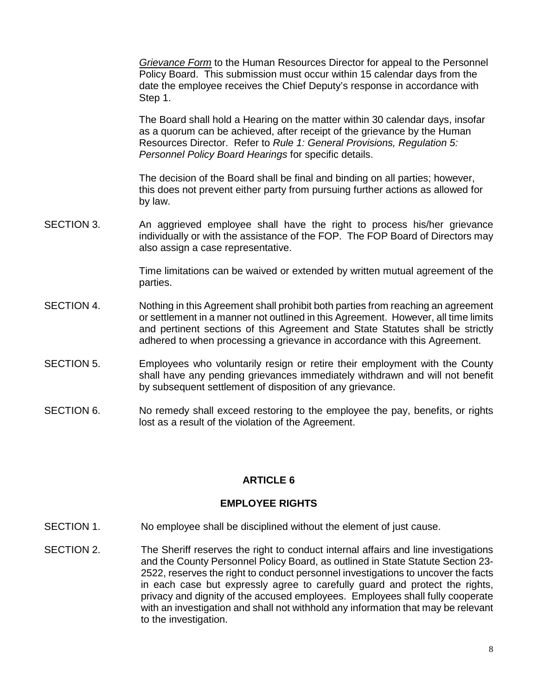*Grievance Form* to the Human Resources Director for appeal to the Personnel Policy Board. This submission must occur within 15 calendar days from the date the employee receives the Chief Deputy's response in accordance with Step 1.

The Board shall hold a Hearing on the matter within 30 calendar days, insofar as a quorum can be achieved, after receipt of the grievance by the Human Resources Director. Refer to *Rule 1: General Provisions, Regulation 5: Personnel Policy Board Hearings* for specific details.

The decision of the Board shall be final and binding on all parties; however, this does not prevent either party from pursuing further actions as allowed for by law.

SECTION 3. An aggrieved employee shall have the right to process his/her grievance individually or with the assistance of the FOP. The FOP Board of Directors may also assign a case representative.

> Time limitations can be waived or extended by written mutual agreement of the parties.

- SECTION 4. Nothing in this Agreement shall prohibit both parties from reaching an agreement or settlement in a manner not outlined in this Agreement. However, all time limits and pertinent sections of this Agreement and State Statutes shall be strictly adhered to when processing a grievance in accordance with this Agreement.
- SECTION 5. Employees who voluntarily resign or retire their employment with the County shall have any pending grievances immediately withdrawn and will not benefit by subsequent settlement of disposition of any grievance.
- SECTION 6. No remedy shall exceed restoring to the employee the pay, benefits, or rights lost as a result of the violation of the Agreement.

# **ARTICLE 6**

## **EMPLOYEE RIGHTS**

- SECTION 1. No employee shall be disciplined without the element of just cause.
- SECTION 2. The Sheriff reserves the right to conduct internal affairs and line investigations and the County Personnel Policy Board, as outlined in State Statute Section 23- 2522, reserves the right to conduct personnel investigations to uncover the facts in each case but expressly agree to carefully guard and protect the rights, privacy and dignity of the accused employees. Employees shall fully cooperate with an investigation and shall not withhold any information that may be relevant to the investigation.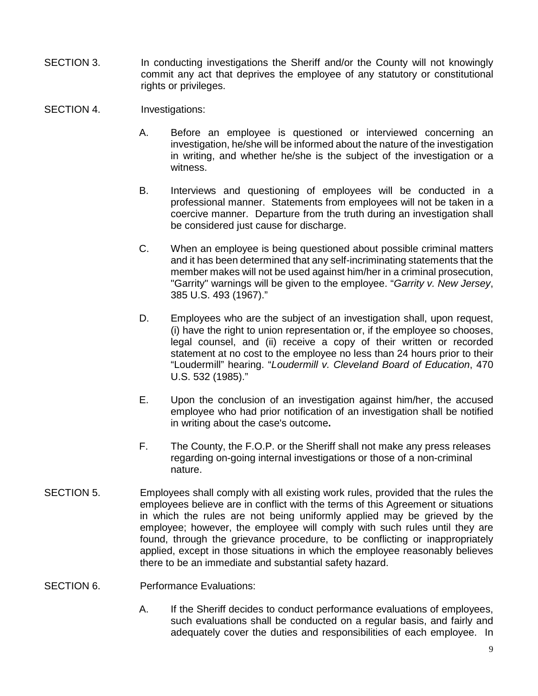- SECTION 3. In conducting investigations the Sheriff and/or the County will not knowingly commit any act that deprives the employee of any statutory or constitutional rights or privileges.
- SECTION 4. Investigations:
	- A. Before an employee is questioned or interviewed concerning an investigation, he/she will be informed about the nature of the investigation in writing, and whether he/she is the subject of the investigation or a witness.
	- B. Interviews and questioning of employees will be conducted in a professional manner. Statements from employees will not be taken in a coercive manner. Departure from the truth during an investigation shall be considered just cause for discharge.
	- C. When an employee is being questioned about possible criminal matters and it has been determined that any self-incriminating statements that the member makes will not be used against him/her in a criminal prosecution, "Garrity" warnings will be given to the employee. "*Garrity v. New Jersey*, 385 U.S. 493 (1967)."
	- D. Employees who are the subject of an investigation shall, upon request, (i) have the right to union representation or, if the employee so chooses, legal counsel, and (ii) receive a copy of their written or recorded statement at no cost to the employee no less than 24 hours prior to their "Loudermill" hearing. "*Loudermill v. Cleveland Board of Education*, 470 U.S. 532 (1985)."
	- E. Upon the conclusion of an investigation against him/her, the accused employee who had prior notification of an investigation shall be notified in writing about the case's outcome**.**
	- F. The County, the F.O.P. or the Sheriff shall not make any press releases regarding on-going internal investigations or those of a non-criminal nature.
- SECTION 5. Employees shall comply with all existing work rules, provided that the rules the employees believe are in conflict with the terms of this Agreement or situations in which the rules are not being uniformly applied may be grieved by the employee; however, the employee will comply with such rules until they are found, through the grievance procedure, to be conflicting or inappropriately applied, except in those situations in which the employee reasonably believes there to be an immediate and substantial safety hazard.

## SECTION 6. Performance Evaluations:

A. If the Sheriff decides to conduct performance evaluations of employees, such evaluations shall be conducted on a regular basis, and fairly and adequately cover the duties and responsibilities of each employee. In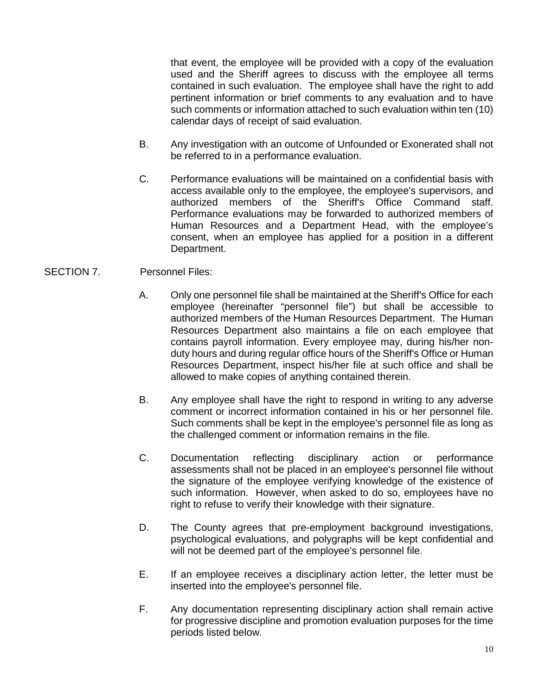that event, the employee will be provided with a copy of the evaluation used and the Sheriff agrees to discuss with the employee all terms contained in such evaluation. The employee shall have the right to add pertinent information or brief comments to any evaluation and to have such comments or information attached to such evaluation within ten (10) calendar days of receipt of said evaluation.

- B. Any investigation with an outcome of Unfounded or Exonerated shall not be referred to in a performance evaluation.
- C. Performance evaluations will be maintained on a confidential basis with access available only to the employee, the employee's supervisors, and authorized members of the Sheriff's Office Command staff. Performance evaluations may be forwarded to authorized members of Human Resources and a Department Head, with the employee's consent, when an employee has applied for a position in a different Department.

## SECTION 7. Personnel Files:

- A. Only one personnel file shall be maintained at the Sheriff's Office for each employee (hereinafter "personnel file") but shall be accessible to authorized members of the Human Resources Department. The Human Resources Department also maintains a file on each employee that contains payroll information. Every employee may, during his/her nonduty hours and during regular office hours of the Sheriff's Office or Human Resources Department, inspect his/her file at such office and shall be allowed to make copies of anything contained therein.
- B. Any employee shall have the right to respond in writing to any adverse comment or incorrect information contained in his or her personnel file. Such comments shall be kept in the employee's personnel file as long as the challenged comment or information remains in the file.
- C. Documentation reflecting disciplinary action or performance assessments shall not be placed in an employee's personnel file without the signature of the employee verifying knowledge of the existence of such information. However, when asked to do so, employees have no right to refuse to verify their knowledge with their signature.
- D. The County agrees that pre-employment background investigations, psychological evaluations, and polygraphs will be kept confidential and will not be deemed part of the employee's personnel file.
- E.If an employee receives a disciplinary action letter, the letter must be inserted into the employee's personnel file.
- F. Any documentation representing disciplinary action shall remain active for progressive discipline and promotion evaluation purposes for the time periods listed below.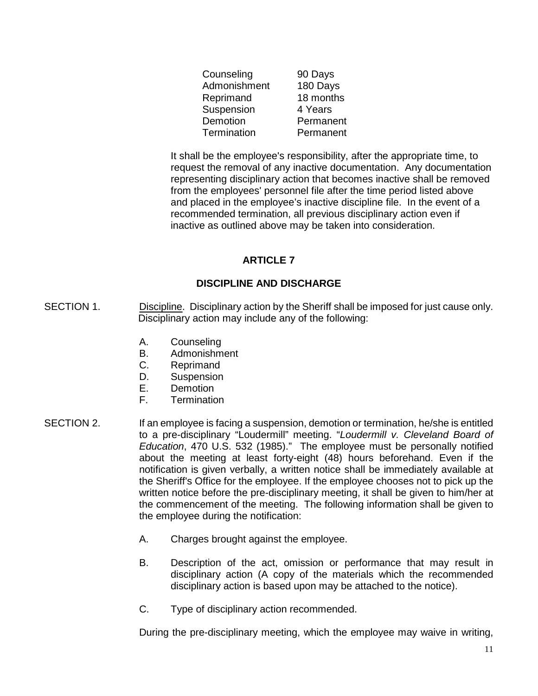| Counseling   | 90 Days   |
|--------------|-----------|
| Admonishment | 180 Days  |
| Reprimand    | 18 months |
| Suspension   | 4 Years   |
| Demotion     | Permanent |
| Termination  | Permanent |

It shall be the employee's responsibility, after the appropriate time, to request the removal of any inactive documentation. Any documentation representing disciplinary action that becomes inactive shall be removed from the employees' personnel file after the time period listed above and placed in the employee's inactive discipline file. In the event of a recommended termination, all previous disciplinary action even if inactive as outlined above may be taken into consideration.

# **ARTICLE 7**

# **DISCIPLINE AND DISCHARGE**

- SECTION 1. Discipline. Disciplinary action by the Sheriff shall be imposed for just cause only. Disciplinary action may include any of the following:
	- A. Counseling
	- B. Admonishment
	- C. Reprimand
	- D. Suspension
	- E. Demotion
	- F. Termination
- SECTION 2. If an employee is facing a suspension, demotion or termination, he/she is entitled to a pre-disciplinary "Loudermill" meeting. "*Loudermill v. Cleveland Board of Education*, 470 U.S. 532 (1985)." The employee must be personally notified about the meeting at least forty-eight (48) hours beforehand. Even if the notification is given verbally, a written notice shall be immediately available at the Sheriff's Office for the employee. If the employee chooses not to pick up the written notice before the pre-disciplinary meeting, it shall be given to him/her at the commencement of the meeting. The following information shall be given to the employee during the notification:
	- A. Charges brought against the employee.
	- B. Description of the act, omission or performance that may result in disciplinary action (A copy of the materials which the recommended disciplinary action is based upon may be attached to the notice).
	- C. Type of disciplinary action recommended.

During the pre-disciplinary meeting, which the employee may waive in writing,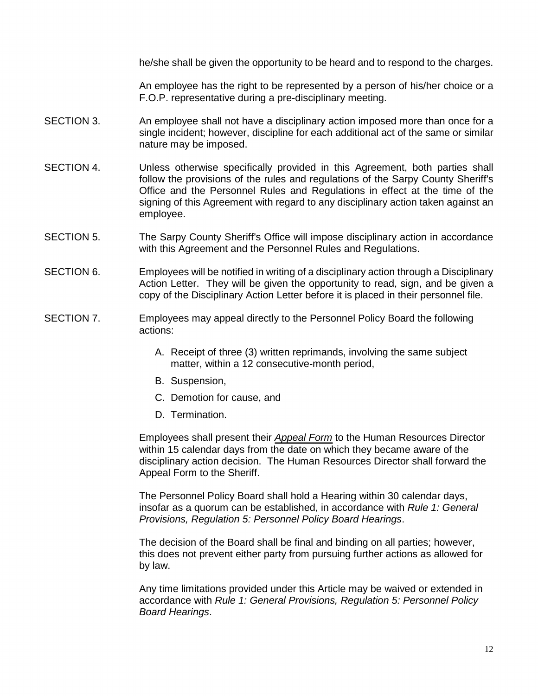he/she shall be given the opportunity to be heard and to respond to the charges.

An employee has the right to be represented by a person of his/her choice or a F.O.P. representative during a pre-disciplinary meeting.

- SECTION 3. An employee shall not have a disciplinary action imposed more than once for a single incident; however, discipline for each additional act of the same or similar nature may be imposed.
- SECTION 4. Unless otherwise specifically provided in this Agreement, both parties shall follow the provisions of the rules and regulations of the Sarpy County Sheriff's Office and the Personnel Rules and Regulations in effect at the time of the signing of this Agreement with regard to any disciplinary action taken against an employee.
- SECTION 5. The Sarpy County Sheriff's Office will impose disciplinary action in accordance with this Agreement and the Personnel Rules and Regulations.
- SECTION 6. Employees will be notified in writing of a disciplinary action through a Disciplinary Action Letter. They will be given the opportunity to read, sign, and be given a copy of the Disciplinary Action Letter before it is placed in their personnel file.
- SECTION 7. Employees may appeal directly to the Personnel Policy Board the following actions:
	- A. Receipt of three (3) written reprimands, involving the same subject matter, within a 12 consecutive-month period,
	- B. Suspension,
	- C. Demotion for cause, and
	- D. Termination.

Employees shall present their *Appeal Form* to the Human Resources Director within 15 calendar days from the date on which they became aware of the disciplinary action decision. The Human Resources Director shall forward the Appeal Form to the Sheriff.

The Personnel Policy Board shall hold a Hearing within 30 calendar days, insofar as a quorum can be established, in accordance with *Rule 1: General Provisions, Regulation 5: Personnel Policy Board Hearings*.

The decision of the Board shall be final and binding on all parties; however, this does not prevent either party from pursuing further actions as allowed for by law.

Any time limitations provided under this Article may be waived or extended in accordance with *Rule 1: General Provisions, Regulation 5: Personnel Policy Board Hearings*.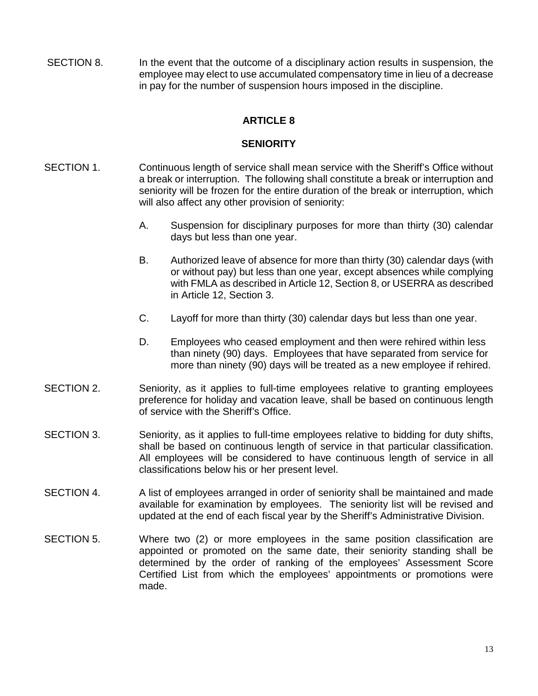SECTION 8. In the event that the outcome of a disciplinary action results in suspension, the employee may elect to use accumulated compensatory time in lieu of a decrease in pay for the number of suspension hours imposed in the discipline.

# **ARTICLE 8**

## **SENIORITY**

- SECTION 1. Continuous length of service shall mean service with the Sheriff's Office without a break or interruption. The following shall constitute a break or interruption and seniority will be frozen for the entire duration of the break or interruption, which will also affect any other provision of seniority:
	- A. Suspension for disciplinary purposes for more than thirty (30) calendar days but less than one year.
	- B. Authorized leave of absence for more than thirty (30) calendar days (with or without pay) but less than one year, except absences while complying with FMLA as described in Article 12, Section 8, or USERRA as described in Article 12, Section 3.
	- C. Layoff for more than thirty (30) calendar days but less than one year.
	- D. Employees who ceased employment and then were rehired within less than ninety (90) days. Employees that have separated from service for more than ninety (90) days will be treated as a new employee if rehired.
- SECTION 2. Seniority, as it applies to full-time employees relative to granting employees preference for holiday and vacation leave, shall be based on continuous length of service with the Sheriff's Office.
- SECTION 3. Seniority, as it applies to full-time employees relative to bidding for duty shifts, shall be based on continuous length of service in that particular classification. All employees will be considered to have continuous length of service in all classifications below his or her present level.
- SECTION 4. A list of employees arranged in order of seniority shall be maintained and made available for examination by employees. The seniority list will be revised and updated at the end of each fiscal year by the Sheriff's Administrative Division.
- SECTION 5. Where two (2) or more employees in the same position classification are appointed or promoted on the same date, their seniority standing shall be determined by the order of ranking of the employees' Assessment Score Certified List from which the employees' appointments or promotions were made.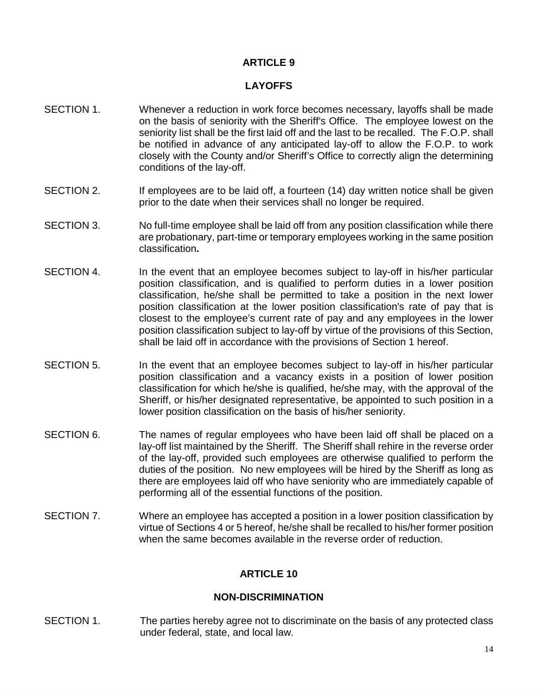# **ARTICLE 9**

# **LAYOFFS**

- SECTION 1. Whenever a reduction in work force becomes necessary, layoffs shall be made on the basis of seniority with the Sheriff's Office. The employee lowest on the seniority list shall be the first laid off and the last to be recalled. The F.O.P. shall be notified in advance of any anticipated lay-off to allow the F.O.P. to work closely with the County and/or Sheriff's Office to correctly align the determining conditions of the lay-off.
- SECTION 2. If employees are to be laid off, a fourteen (14) day written notice shall be given prior to the date when their services shall no longer be required.
- SECTION 3. No full-time employee shall be laid off from any position classification while there are probationary, part-time or temporary employees working in the same position classification**.**
- SECTION 4. In the event that an employee becomes subject to lay-off in his/her particular position classification, and is qualified to perform duties in a lower position classification, he/she shall be permitted to take a position in the next lower position classification at the lower position classification's rate of pay that is closest to the employee's current rate of pay and any employees in the lower position classification subject to lay-off by virtue of the provisions of this Section, shall be laid off in accordance with the provisions of Section 1 hereof.
- SECTION 5. In the event that an employee becomes subject to lay-off in his/her particular position classification and a vacancy exists in a position of lower position classification for which he/she is qualified, he/she may, with the approval of the Sheriff, or his/her designated representative, be appointed to such position in a lower position classification on the basis of his/her seniority.
- SECTION 6. The names of regular employees who have been laid off shall be placed on a lay-off list maintained by the Sheriff. The Sheriff shall rehire in the reverse order of the lay-off, provided such employees are otherwise qualified to perform the duties of the position. No new employees will be hired by the Sheriff as long as there are employees laid off who have seniority who are immediately capable of performing all of the essential functions of the position.
- SECTION 7. Where an employee has accepted a position in a lower position classification by virtue of Sections 4 or 5 hereof, he/she shall be recalled to his/her former position when the same becomes available in the reverse order of reduction.

# **ARTICLE 10**

## **NON-DISCRIMINATION**

SECTION 1. The parties hereby agree not to discriminate on the basis of any protected class under federal, state, and local law.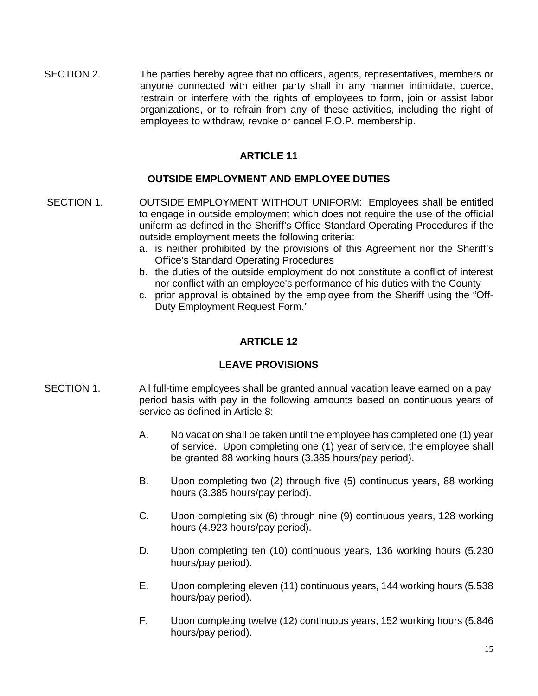SECTION 2. The parties hereby agree that no officers, agents, representatives, members or anyone connected with either party shall in any manner intimidate, coerce, restrain or interfere with the rights of employees to form, join or assist labor organizations, or to refrain from any of these activities, including the right of employees to withdraw, revoke or cancel F.O.P. membership.

# **ARTICLE 11**

# **OUTSIDE EMPLOYMENT AND EMPLOYEE DUTIES**

- SECTION 1. OUTSIDE EMPLOYMENT WITHOUT UNIFORM: Employees shall be entitled to engage in outside employment which does not require the use of the official uniform as defined in the Sheriff's Office Standard Operating Procedures if the outside employment meets the following criteria:
	- a. is neither prohibited by the provisions of this Agreement nor the Sheriff's Office's Standard Operating Procedures
	- b. the duties of the outside employment do not constitute a conflict of interest nor conflict with an employee's performance of his duties with the County
	- c. prior approval is obtained by the employee from the Sheriff using the "Off-Duty Employment Request Form."

# **ARTICLE 12**

## **LEAVE PROVISIONS**

- SECTION 1. All full-time employees shall be granted annual vacation leave earned on a pay period basis with pay in the following amounts based on continuous years of service as defined in Article 8:
	- A. No vacation shall be taken until the employee has completed one (1) year of service. Upon completing one (1) year of service, the employee shall be granted 88 working hours (3.385 hours/pay period).
	- B. Upon completing two (2) through five (5) continuous years, 88 working hours (3.385 hours/pay period).
	- C. Upon completing six (6) through nine (9) continuous years, 128 working hours (4.923 hours/pay period).
	- D. Upon completing ten (10) continuous years, 136 working hours (5.230 hours/pay period).
	- E. Upon completing eleven (11) continuous years, 144 working hours (5.538 hours/pay period).
	- F. Upon completing twelve (12) continuous years, 152 working hours (5.846 hours/pay period).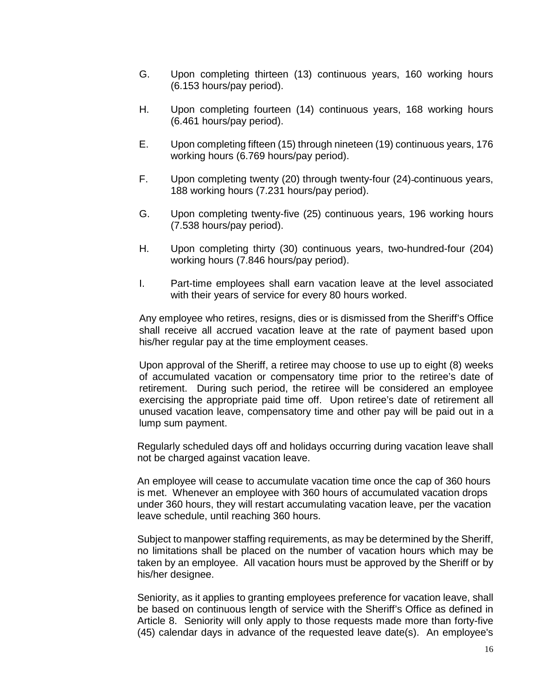- G. Upon completing thirteen (13) continuous years, 160 working hours (6.153 hours/pay period).
- H. Upon completing fourteen (14) continuous years, 168 working hours (6.461 hours/pay period).
- E. Upon completing fifteen (15) through nineteen (19) continuous years, 176 working hours (6.769 hours/pay period).
- F. Upon completing twenty (20) through twenty-four (24) continuous years, -188 working hours (7.231 hours/pay period).
- G. Upon completing twenty-five (25) continuous years, 196 working hours (7.538 hours/pay period).
- H. Upon completing thirty (30) continuous years, two-hundred-four (204) working hours (7.846 hours/pay period).
- I. Part-time employees shall earn vacation leave at the level associated with their years of service for every 80 hours worked.

Any employee who retires, resigns, dies or is dismissed from the Sheriff's Office shall receive all accrued vacation leave at the rate of payment based upon his/her regular pay at the time employment ceases.

Upon approval of the Sheriff, a retiree may choose to use up to eight (8) weeks of accumulated vacation or compensatory time prior to the retiree's date of retirement. During such period, the retiree will be considered an employee exercising the appropriate paid time off. Upon retiree's date of retirement all unused vacation leave, compensatory time and other pay will be paid out in a lump sum payment.

Regularly scheduled days off and holidays occurring during vacation leave shall not be charged against vacation leave.

An employee will cease to accumulate vacation time once the cap of 360 hours is met. Whenever an employee with 360 hours of accumulated vacation drops under 360 hours, they will restart accumulating vacation leave, per the vacation leave schedule, until reaching 360 hours.

Subject to manpower staffing requirements, as may be determined by the Sheriff, no limitations shall be placed on the number of vacation hours which may be taken by an employee. All vacation hours must be approved by the Sheriff or by his/her designee.

Seniority, as it applies to granting employees preference for vacation leave, shall be based on continuous length of service with the Sheriff's Office as defined in Article 8. Seniority will only apply to those requests made more than forty-five (45) calendar days in advance of the requested leave date(s). An employee's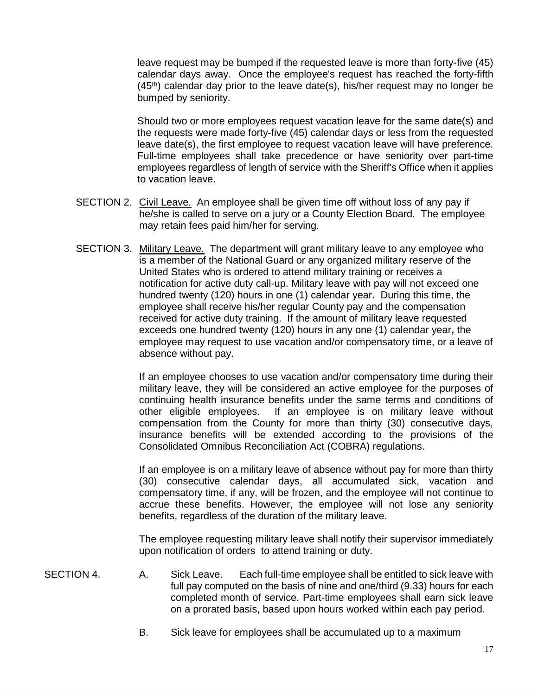leave request may be bumped if the requested leave is more than forty-five (45) calendar days away. Once the employee's request has reached the forty-fifth  $(45<sup>th</sup>)$  calendar day prior to the leave date(s), his/her request may no longer be bumped by seniority.

Should two or more employees request vacation leave for the same date(s) and the requests were made forty-five (45) calendar days or less from the requested leave date(s), the first employee to request vacation leave will have preference. Full-time employees shall take precedence or have seniority over part-time employees regardless of length of service with the Sheriff's Office when it applies to vacation leave.

- SECTION 2. Civil Leave. An employee shall be given time off without loss of any pay if he/she is called to serve on a jury or a County Election Board. The employee may retain fees paid him/her for serving.
- SECTION 3. Military Leave. The department will grant military leave to any employee who is a member of the National Guard or any organized military reserve of the United States who is ordered to attend military training or receives a notification for active duty call-up. Military leave with pay will not exceed one hundred twenty (120) hours in one (1) calendar year**.** During this time, the employee shall receive his/her regular County pay and the compensation received for active duty training. If the amount of military leave requested exceeds one hundred twenty (120) hours in any one (1) calendar year**,** the employee may request to use vacation and/or compensatory time, or a leave of absence without pay.

If an employee chooses to use vacation and/or compensatory time during their military leave, they will be considered an active employee for the purposes of continuing health insurance benefits under the same terms and conditions of other eligible employees. If an employee is on military leave without compensation from the County for more than thirty (30) consecutive days, insurance benefits will be extended according to the provisions of the Consolidated Omnibus Reconciliation Act (COBRA) regulations.

If an employee is on a military leave of absence without pay for more than thirty (30) consecutive calendar days, all accumulated sick, vacation and compensatory time, if any, will be frozen, and the employee will not continue to accrue these benefits. However, the employee will not lose any seniority benefits, regardless of the duration of the military leave.

The employee requesting military leave shall notify their supervisor immediately upon notification of orders to attend training or duty.

- SECTION 4. A. Sick Leave. Each full-time employee shall be entitled to sick leave with full pay computed on the basis of nine and one/third (9.33) hours for each completed month of service. Part-time employees shall earn sick leave on a prorated basis, based upon hours worked within each pay period.
	- B. Sick leave for employees shall be accumulated up to a maximum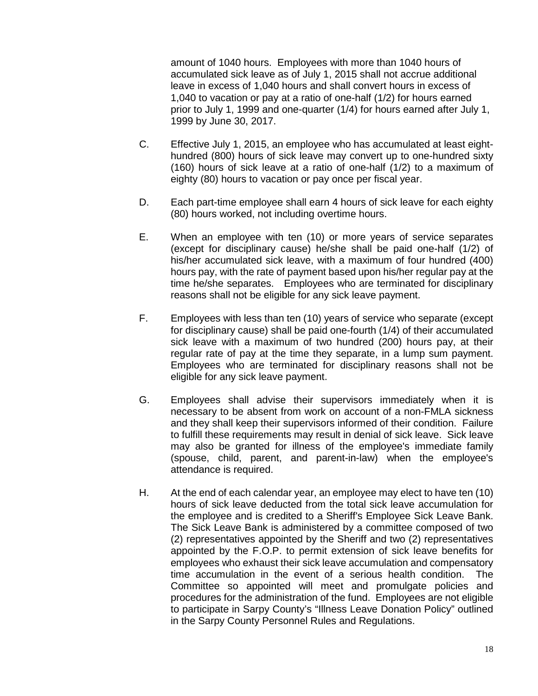amount of 1040 hours. Employees with more than 1040 hours of accumulated sick leave as of July 1, 2015 shall not accrue additional leave in excess of 1,040 hours and shall convert hours in excess of 1,040 to vacation or pay at a ratio of one-half (1/2) for hours earned prior to July 1, 1999 and one-quarter (1/4) for hours earned after July 1, 1999 by June 30, 2017.

- C. Effective July 1, 2015, an employee who has accumulated at least eighthundred (800) hours of sick leave may convert up to one-hundred sixty (160) hours of sick leave at a ratio of one-half (1/2) to a maximum of eighty (80) hours to vacation or pay once per fiscal year.
- D. Each part-time employee shall earn 4 hours of sick leave for each eighty (80) hours worked, not including overtime hours.
- E. When an employee with ten (10) or more years of service separates (except for disciplinary cause) he/she shall be paid one-half (1/2) of his/her accumulated sick leave, with a maximum of four hundred (400) hours pay, with the rate of payment based upon his/her regular pay at the time he/she separates. Employees who are terminated for disciplinary reasons shall not be eligible for any sick leave payment.
- F. Employees with less than ten (10) years of service who separate (except for disciplinary cause) shall be paid one-fourth (1/4) of their accumulated sick leave with a maximum of two hundred (200) hours pay, at their regular rate of pay at the time they separate, in a lump sum payment. Employees who are terminated for disciplinary reasons shall not be eligible for any sick leave payment.
- G. Employees shall advise their supervisors immediately when it is necessary to be absent from work on account of a non-FMLA sickness and they shall keep their supervisors informed of their condition. Failure to fulfill these requirements may result in denial of sick leave. Sick leave may also be granted for illness of the employee's immediate family (spouse, child, parent, and parent-in-law) when the employee's attendance is required.
- H. At the end of each calendar year, an employee may elect to have ten (10) hours of sick leave deducted from the total sick leave accumulation for the employee and is credited to a Sheriff's Employee Sick Leave Bank. The Sick Leave Bank is administered by a committee composed of two (2) representatives appointed by the Sheriff and two (2) representatives appointed by the F.O.P. to permit extension of sick leave benefits for employees who exhaust their sick leave accumulation and compensatory time accumulation in the event of a serious health condition. The Committee so appointed will meet and promulgate policies and procedures for the administration of the fund. Employees are not eligible to participate in Sarpy County's "Illness Leave Donation Policy" outlined in the Sarpy County Personnel Rules and Regulations.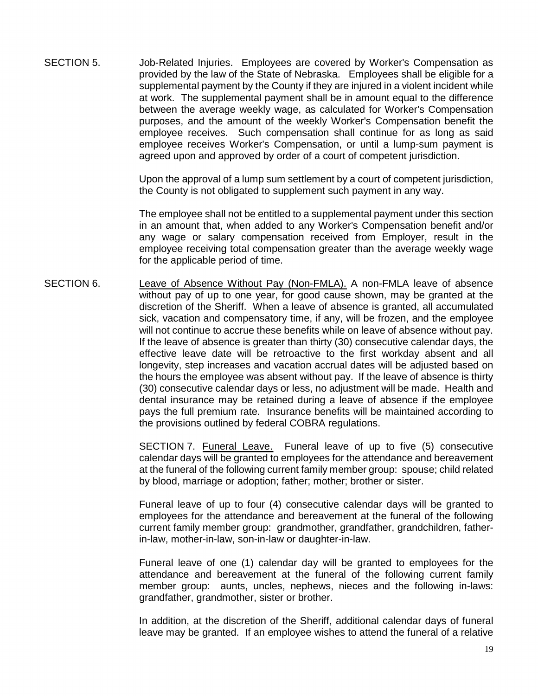SECTION 5. Job-Related Injuries. Employees are covered by Worker's Compensation as provided by the law of the State of Nebraska. Employees shall be eligible for a supplemental payment by the County if they are injured in a violent incident while at work. The supplemental payment shall be in amount equal to the difference between the average weekly wage, as calculated for Worker's Compensation purposes, and the amount of the weekly Worker's Compensation benefit the employee receives. Such compensation shall continue for as long as said employee receives Worker's Compensation, or until a lump-sum payment is agreed upon and approved by order of a court of competent jurisdiction.

> Upon the approval of a lump sum settlement by a court of competent jurisdiction, the County is not obligated to supplement such payment in any way.

> The employee shall not be entitled to a supplemental payment under this section in an amount that, when added to any Worker's Compensation benefit and/or any wage or salary compensation received from Employer, result in the employee receiving total compensation greater than the average weekly wage for the applicable period of time.

SECTION 6. Leave of Absence Without Pay (Non-FMLA). A non-FMLA leave of absence without pay of up to one year, for good cause shown, may be granted at the discretion of the Sheriff. When a leave of absence is granted, all accumulated sick, vacation and compensatory time, if any, will be frozen, and the employee will not continue to accrue these benefits while on leave of absence without pay. If the leave of absence is greater than thirty (30) consecutive calendar days, the effective leave date will be retroactive to the first workday absent and all longevity, step increases and vacation accrual dates will be adjusted based on the hours the employee was absent without pay. If the leave of absence is thirty (30) consecutive calendar days or less, no adjustment will be made. Health and dental insurance may be retained during a leave of absence if the employee pays the full premium rate. Insurance benefits will be maintained according to the provisions outlined by federal COBRA regulations.

> SECTION 7. Funeral Leave. Funeral leave of up to five (5) consecutive calendar days will be granted to employees for the attendance and bereavement at the funeral of the following current family member group: spouse; child related by blood, marriage or adoption; father; mother; brother or sister.

> Funeral leave of up to four (4) consecutive calendar days will be granted to employees for the attendance and bereavement at the funeral of the following current family member group: grandmother, grandfather, grandchildren, fatherin-law, mother-in-law, son-in-law or daughter-in-law.

> Funeral leave of one (1) calendar day will be granted to employees for the attendance and bereavement at the funeral of the following current family member group: aunts, uncles, nephews, nieces and the following in-laws: grandfather, grandmother, sister or brother.

> In addition, at the discretion of the Sheriff, additional calendar days of funeral leave may be granted. If an employee wishes to attend the funeral of a relative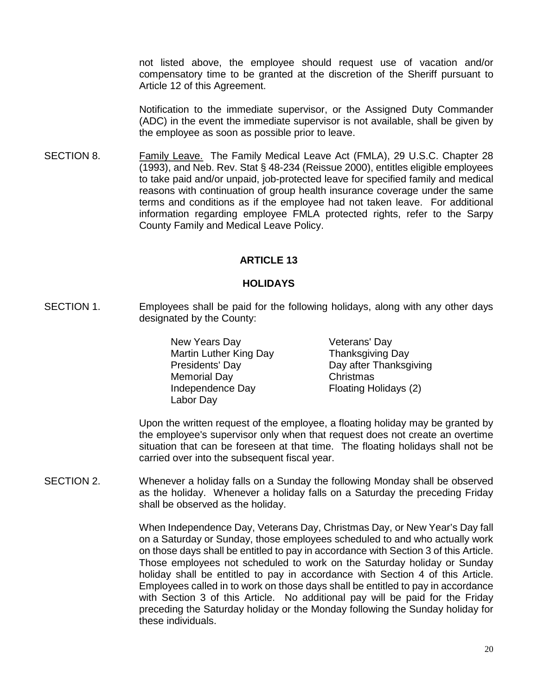not listed above, the employee should request use of vacation and/or compensatory time to be granted at the discretion of the Sheriff pursuant to Article 12 of this Agreement.

Notification to the immediate supervisor, or the Assigned Duty Commander (ADC) in the event the immediate supervisor is not available, shall be given by the employee as soon as possible prior to leave.

SECTION 8. Family Leave. The Family Medical Leave Act (FMLA), 29 U.S.C. Chapter 28 (1993), and Neb. Rev. Stat § 48-234 (Reissue 2000), entitles eligible employees to take paid and/or unpaid, job-protected leave for specified family and medical reasons with continuation of group health insurance coverage under the same terms and conditions as if the employee had not taken leave. For additional information regarding employee FMLA protected rights, refer to the Sarpy County Family and Medical Leave Policy.

## **ARTICLE 13**

## **HOLIDAYS**

SECTION 1. Employees shall be paid for the following holidays, along with any other days designated by the County:

> New Years Day Veterans' Day Martin Luther King Day Thanksgiving Day Presidents' Day **Day after Thanksgiving** Memorial Day **Christmas** Independence Day Floating Holidays (2) Labor Day

Upon the written request of the employee, a floating holiday may be granted by the employee's supervisor only when that request does not create an overtime situation that can be foreseen at that time. The floating holidays shall not be carried over into the subsequent fiscal year.

SECTION 2. Whenever a holiday falls on a Sunday the following Monday shall be observed as the holiday. Whenever a holiday falls on a Saturday the preceding Friday shall be observed as the holiday.

> When Independence Day, Veterans Day, Christmas Day, or New Year's Day fall on a Saturday or Sunday, those employees scheduled to and who actually work on those days shall be entitled to pay in accordance with Section 3 of this Article. Those employees not scheduled to work on the Saturday holiday or Sunday holiday shall be entitled to pay in accordance with Section 4 of this Article. Employees called in to work on those days shall be entitled to pay in accordance with Section 3 of this Article. No additional pay will be paid for the Friday preceding the Saturday holiday or the Monday following the Sunday holiday for these individuals.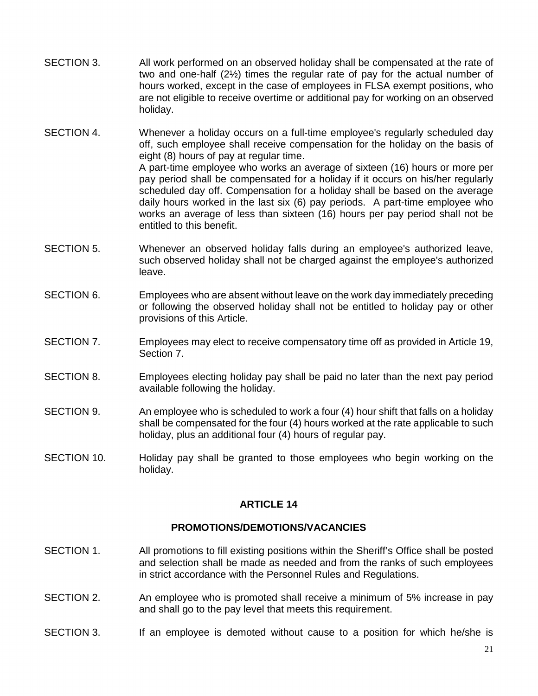- SECTION 3. All work performed on an observed holiday shall be compensated at the rate of two and one-half (2½) times the regular rate of pay for the actual number of hours worked, except in the case of employees in FLSA exempt positions, who are not eligible to receive overtime or additional pay for working on an observed holiday.
- SECTION 4. Whenever a holiday occurs on a full-time employee's regularly scheduled day off, such employee shall receive compensation for the holiday on the basis of eight (8) hours of pay at regular time. A part-time employee who works an average of sixteen (16) hours or more per pay period shall be compensated for a holiday if it occurs on his/her regularly scheduled day off. Compensation for a holiday shall be based on the average daily hours worked in the last six (6) pay periods. A part-time employee who works an average of less than sixteen (16) hours per pay period shall not be entitled to this benefit.
- SECTION 5. Whenever an observed holiday falls during an employee's authorized leave, such observed holiday shall not be charged against the employee's authorized leave.
- SECTION 6. Employees who are absent without leave on the work day immediately preceding or following the observed holiday shall not be entitled to holiday pay or other provisions of this Article.
- SECTION 7. Employees may elect to receive compensatory time off as provided in Article 19, Section 7.
- SECTION 8. Employees electing holiday pay shall be paid no later than the next pay period available following the holiday.
- SECTION 9. An employee who is scheduled to work a four (4) hour shift that falls on a holiday shall be compensated for the four (4) hours worked at the rate applicable to such holiday, plus an additional four (4) hours of regular pay.
- SECTION 10. Holiday pay shall be granted to those employees who begin working on the holiday.

## **ARTICLE 14**

## **PROMOTIONS/DEMOTIONS/VACANCIES**

- SECTION 1. All promotions to fill existing positions within the Sheriff's Office shall be posted and selection shall be made as needed and from the ranks of such employees in strict accordance with the Personnel Rules and Regulations.
- SECTION 2. An employee who is promoted shall receive a minimum of 5% increase in pay and shall go to the pay level that meets this requirement.
- SECTION 3. If an employee is demoted without cause to a position for which he/she is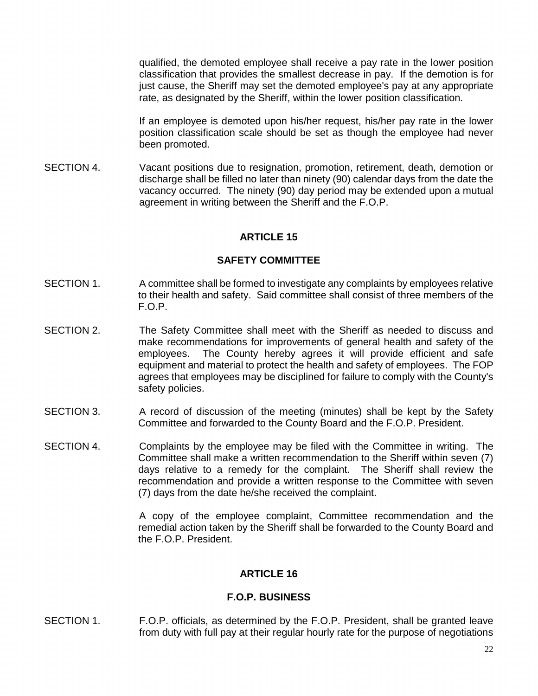qualified, the demoted employee shall receive a pay rate in the lower position classification that provides the smallest decrease in pay. If the demotion is for just cause, the Sheriff may set the demoted employee's pay at any appropriate rate, as designated by the Sheriff, within the lower position classification.

If an employee is demoted upon his/her request, his/her pay rate in the lower position classification scale should be set as though the employee had never been promoted.

SECTION 4. Vacant positions due to resignation, promotion, retirement, death, demotion or discharge shall be filled no later than ninety (90) calendar days from the date the vacancy occurred. The ninety (90) day period may be extended upon a mutual agreement in writing between the Sheriff and the F.O.P.

# **ARTICLE 15**

## **SAFETY COMMITTEE**

- SECTION 1. A committee shall be formed to investigate any complaints by employees relative to their health and safety. Said committee shall consist of three members of the F.O.P.
- SECTION 2. The Safety Committee shall meet with the Sheriff as needed to discuss and make recommendations for improvements of general health and safety of the employees. The County hereby agrees it will provide efficient and safe equipment and material to protect the health and safety of employees. The FOP agrees that employees may be disciplined for failure to comply with the County's safety policies.
- SECTION 3. A record of discussion of the meeting (minutes) shall be kept by the Safety Committee and forwarded to the County Board and the F.O.P. President.
- SECTION 4. Complaints by the employee may be filed with the Committee in writing. The Committee shall make a written recommendation to the Sheriff within seven (7) days relative to a remedy for the complaint. The Sheriff shall review the recommendation and provide a written response to the Committee with seven (7) days from the date he/she received the complaint.

A copy of the employee complaint, Committee recommendation and the remedial action taken by the Sheriff shall be forwarded to the County Board and the F.O.P. President.

## **ARTICLE 16**

## **F.O.P. BUSINESS**

SECTION 1. F.O.P. officials, as determined by the F.O.P. President, shall be granted leave from duty with full pay at their regular hourly rate for the purpose of negotiations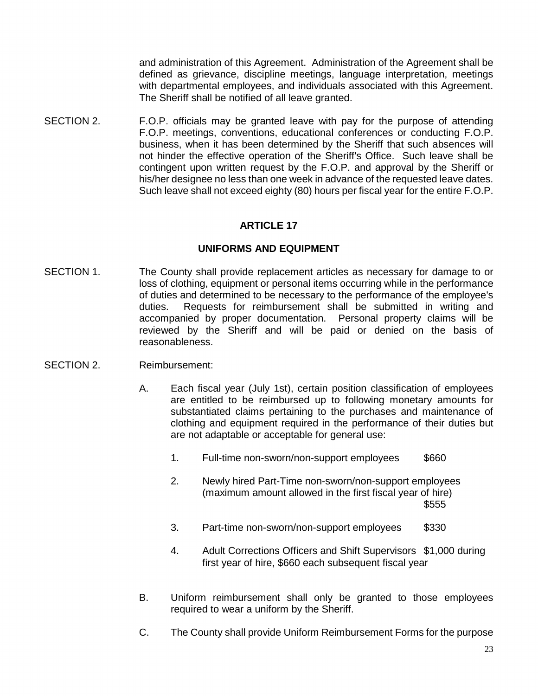and administration of this Agreement. Administration of the Agreement shall be defined as grievance, discipline meetings, language interpretation, meetings with departmental employees, and individuals associated with this Agreement. The Sheriff shall be notified of all leave granted.

SECTION 2. F.O.P. officials may be granted leave with pay for the purpose of attending F.O.P. meetings, conventions, educational conferences or conducting F.O.P. business, when it has been determined by the Sheriff that such absences will not hinder the effective operation of the Sheriff's Office. Such leave shall be contingent upon written request by the F.O.P. and approval by the Sheriff or his/her designee no less than one week in advance of the requested leave dates. Such leave shall not exceed eighty (80) hours per fiscal year for the entire F.O.P.

# **ARTICLE 17**

## **UNIFORMS AND EQUIPMENT**

SECTION 1. The County shall provide replacement articles as necessary for damage to or loss of clothing, equipment or personal items occurring while in the performance of duties and determined to be necessary to the performance of the employee's duties. Requests for reimbursement shall be submitted in writing and accompanied by proper documentation. Personal property claims will be reviewed by the Sheriff and will be paid or denied on the basis of reasonableness.

## SECTION 2. Reimbursement:

- A. Each fiscal year (July 1st), certain position classification of employees are entitled to be reimbursed up to following monetary amounts for substantiated claims pertaining to the purchases and maintenance of clothing and equipment required in the performance of their duties but are not adaptable or acceptable for general use:
	- 1. Full-time non-sworn/non-support employees \$660
	- 2. Newly hired Part-Time non-sworn/non-support employees (maximum amount allowed in the first fiscal year of hire)  $$555$
	- 3. Part-time non-sworn/non-support employees \$330
	- 4. Adult Corrections Officers and Shift Supervisors \$1,000 during first year of hire, \$660 each subsequent fiscal year
- B. Uniform reimbursement shall only be granted to those employees required to wear a uniform by the Sheriff.
- C. The County shall provide Uniform Reimbursement Forms for the purpose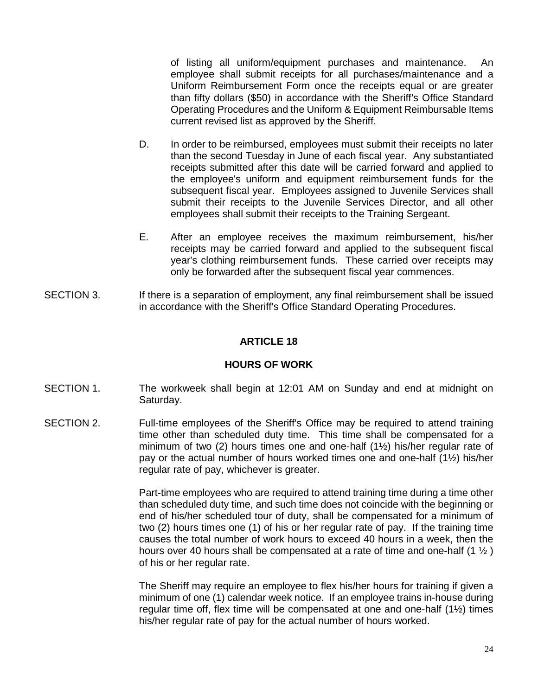of listing all uniform/equipment purchases and maintenance. An employee shall submit receipts for all purchases/maintenance and a Uniform Reimbursement Form once the receipts equal or are greater than fifty dollars (\$50) in accordance with the Sheriff's Office Standard Operating Procedures and the Uniform & Equipment Reimbursable Items current revised list as approved by the Sheriff.

- D.In order to be reimbursed, employees must submit their receipts no later than the second Tuesday in June of each fiscal year. Any substantiated receipts submitted after this date will be carried forward and applied to the employee's uniform and equipment reimbursement funds for the subsequent fiscal year. Employees assigned to Juvenile Services shall submit their receipts to the Juvenile Services Director, and all other employees shall submit their receipts to the Training Sergeant.
- E. After an employee receives the maximum reimbursement, his/her receipts may be carried forward and applied to the subsequent fiscal year's clothing reimbursement funds. These carried over receipts may only be forwarded after the subsequent fiscal year commences.
- SECTION 3. If there is a separation of employment, any final reimbursement shall be issued in accordance with the Sheriff's Office Standard Operating Procedures.

# **ARTICLE 18**

## **HOURS OF WORK**

- SECTION 1. The workweek shall begin at 12:01 AM on Sunday and end at midnight on Saturday.
- SECTION 2. Full-time employees of the Sheriff's Office may be required to attend training time other than scheduled duty time. This time shall be compensated for a minimum of two (2) hours times one and one-half (1½) his/her regular rate of pay or the actual number of hours worked times one and one-half (1½) his/her regular rate of pay, whichever is greater.

Part-time employees who are required to attend training time during a time other than scheduled duty time, and such time does not coincide with the beginning or end of his/her scheduled tour of duty, shall be compensated for a minimum of two (2) hours times one (1) of his or her regular rate of pay. If the training time causes the total number of work hours to exceed 40 hours in a week, then the hours over 40 hours shall be compensated at a rate of time and one-half  $(1 \frac{1}{2})$ of his or her regular rate.

The Sheriff may require an employee to flex his/her hours for training if given a minimum of one (1) calendar week notice. If an employee trains in-house during regular time off, flex time will be compensated at one and one-half (1½) times his/her regular rate of pay for the actual number of hours worked.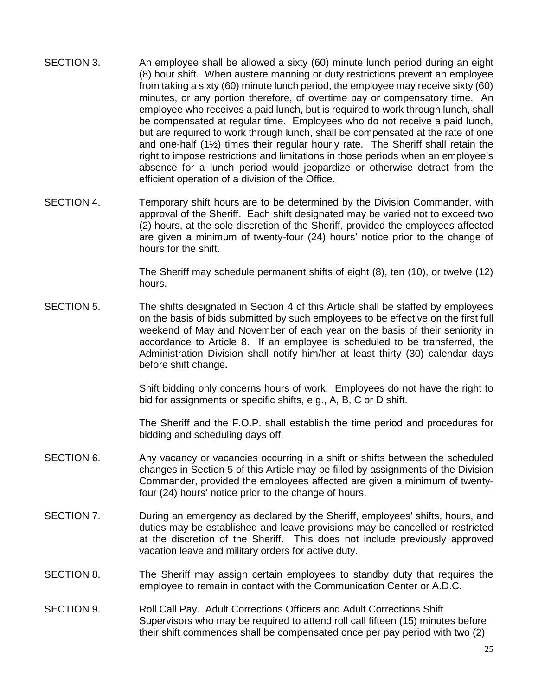- SECTION 3. An employee shall be allowed a sixty (60) minute lunch period during an eight (8) hour shift. When austere manning or duty restrictions prevent an employee from taking a sixty (60) minute lunch period, the employee may receive sixty (60) minutes, or any portion therefore, of overtime pay or compensatory time. An employee who receives a paid lunch, but is required to work through lunch, shall be compensated at regular time. Employees who do not receive a paid lunch, but are required to work through lunch, shall be compensated at the rate of one and one-half (1½) times their regular hourly rate. The Sheriff shall retain the right to impose restrictions and limitations in those periods when an employee's absence for a lunch period would jeopardize or otherwise detract from the efficient operation of a division of the Office.
- SECTION 4. Temporary shift hours are to be determined by the Division Commander, with approval of the Sheriff. Each shift designated may be varied not to exceed two (2) hours, at the sole discretion of the Sheriff, provided the employees affected are given a minimum of twenty-four (24) hours' notice prior to the change of hours for the shift.

The Sheriff may schedule permanent shifts of eight (8), ten (10), or twelve (12) hours.

SECTION 5. The shifts designated in Section 4 of this Article shall be staffed by employees on the basis of bids submitted by such employees to be effective on the first full weekend of May and November of each year on the basis of their seniority in accordance to Article 8. If an employee is scheduled to be transferred, the Administration Division shall notify him/her at least thirty (30) calendar days before shift change**.** 

> Shift bidding only concerns hours of work. Employees do not have the right to bid for assignments or specific shifts, e.g., A, B, C or D shift.

> The Sheriff and the F.O.P. shall establish the time period and procedures for bidding and scheduling days off.

- SECTION 6. Any vacancy or vacancies occurring in a shift or shifts between the scheduled changes in Section 5 of this Article may be filled by assignments of the Division Commander, provided the employees affected are given a minimum of twentyfour (24) hours' notice prior to the change of hours.
- SECTION 7. During an emergency as declared by the Sheriff, employees' shifts, hours, and duties may be established and leave provisions may be cancelled or restricted at the discretion of the Sheriff. This does not include previously approved vacation leave and military orders for active duty.
- SECTION 8. The Sheriff may assign certain employees to standby duty that requires the employee to remain in contact with the Communication Center or A.D.C.
- SECTION 9. Roll Call Pay. Adult Corrections Officers and Adult Corrections Shift Supervisors who may be required to attend roll call fifteen (15) minutes before their shift commences shall be compensated once per pay period with two (2)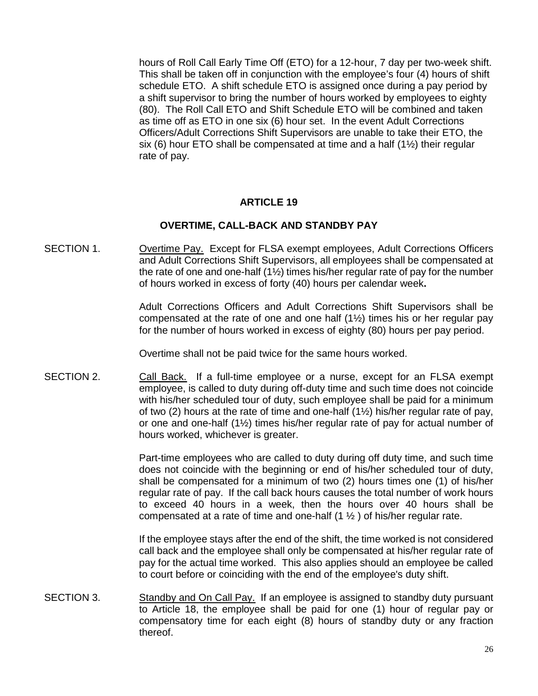hours of Roll Call Early Time Off (ETO) for a 12-hour, 7 day per two-week shift. This shall be taken off in conjunction with the employee's four (4) hours of shift schedule ETO. A shift schedule ETO is assigned once during a pay period by a shift supervisor to bring the number of hours worked by employees to eighty (80). The Roll Call ETO and Shift Schedule ETO will be combined and taken as time off as ETO in one six (6) hour set. In the event Adult Corrections Officers/Adult Corrections Shift Supervisors are unable to take their ETO, the six (6) hour ETO shall be compensated at time and a half  $(1\frac{1}{2})$  their regular rate of pay.

## **ARTICLE 19**

#### **OVERTIME, CALL-BACK AND STANDBY PAY**

SECTION 1. Overtime Pay. Except for FLSA exempt employees, Adult Corrections Officers and Adult Corrections Shift Supervisors, all employees shall be compensated at the rate of one and one-half (1½) times his/her regular rate of pay for the number of hours worked in excess of forty (40) hours per calendar week**.** 

> Adult Corrections Officers and Adult Corrections Shift Supervisors shall be compensated at the rate of one and one half (1½) times his or her regular pay for the number of hours worked in excess of eighty (80) hours per pay period.

Overtime shall not be paid twice for the same hours worked.

SECTION 2. Call Back. If a full-time employee or a nurse, except for an FLSA exempt employee, is called to duty during off-duty time and such time does not coincide with his/her scheduled tour of duty, such employee shall be paid for a minimum of two (2) hours at the rate of time and one-half  $(1\frac{1}{2})$  his/her regular rate of pay, or one and one-half (1½) times his/her regular rate of pay for actual number of hours worked, whichever is greater.

> Part-time employees who are called to duty during off duty time, and such time does not coincide with the beginning or end of his/her scheduled tour of duty, shall be compensated for a minimum of two (2) hours times one (1) of his/her regular rate of pay. If the call back hours causes the total number of work hours to exceed 40 hours in a week, then the hours over 40 hours shall be compensated at a rate of time and one-half  $(1 \frac{1}{2})$  of his/her regular rate.

> If the employee stays after the end of the shift, the time worked is not considered call back and the employee shall only be compensated at his/her regular rate of pay for the actual time worked. This also applies should an employee be called to court before or coinciding with the end of the employee's duty shift.

SECTION 3. Standby and On Call Pay. If an employee is assigned to standby duty pursuant to Article 18, the employee shall be paid for one (1) hour of regular pay or compensatory time for each eight (8) hours of standby duty or any fraction thereof.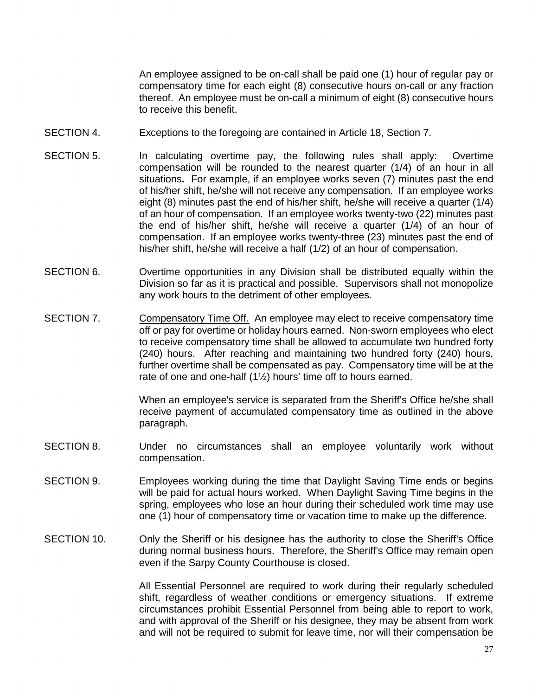An employee assigned to be on-call shall be paid one (1) hour of regular pay or compensatory time for each eight (8) consecutive hours on-call or any fraction thereof. An employee must be on-call a minimum of eight (8) consecutive hours to receive this benefit.

- SECTION 4. Exceptions to the foregoing are contained in Article 18, Section 7.
- SECTION 5. In calculating overtime pay, the following rules shall apply: Overtime compensation will be rounded to the nearest quarter (1/4) of an hour in all situations**.** For example, if an employee works seven (7) minutes past the end of his/her shift, he/she will not receive any compensation. If an employee works eight (8) minutes past the end of his/her shift, he/she will receive a quarter (1/4) of an hour of compensation. If an employee works twenty-two (22) minutes past the end of his/her shift, he/she will receive a quarter (1/4) of an hour of compensation. If an employee works twenty-three (23) minutes past the end of his/her shift, he/she will receive a half (1/2) of an hour of compensation.
- SECTION 6. Overtime opportunities in any Division shall be distributed equally within the Division so far as it is practical and possible. Supervisors shall not monopolize any work hours to the detriment of other employees.
- SECTION 7. Compensatory Time Off. An employee may elect to receive compensatory time off or pay for overtime or holiday hours earned. Non-sworn employees who elect to receive compensatory time shall be allowed to accumulate two hundred forty (240) hours. After reaching and maintaining two hundred forty (240) hours, further overtime shall be compensated as pay. Compensatory time will be at the rate of one and one-half (1½) hours' time off to hours earned.

When an employee's service is separated from the Sheriff's Office he/she shall receive payment of accumulated compensatory time as outlined in the above paragraph.

- SECTION 8. Under no circumstances shall an employee voluntarily work without compensation.
- SECTION 9. Employees working during the time that Daylight Saving Time ends or begins will be paid for actual hours worked. When Daylight Saving Time begins in the spring, employees who lose an hour during their scheduled work time may use one (1) hour of compensatory time or vacation time to make up the difference.
- SECTION 10. Only the Sheriff or his designee has the authority to close the Sheriff's Office during normal business hours. Therefore, the Sheriff's Office may remain open even if the Sarpy County Courthouse is closed.

All Essential Personnel are required to work during their regularly scheduled shift, regardless of weather conditions or emergency situations. If extreme circumstances prohibit Essential Personnel from being able to report to work, and with approval of the Sheriff or his designee, they may be absent from work and will not be required to submit for leave time, nor will their compensation be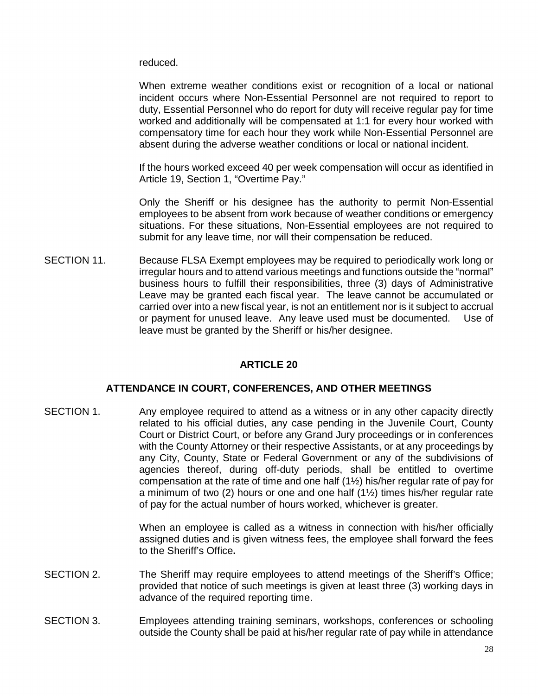reduced.

When extreme weather conditions exist or recognition of a local or national incident occurs where Non-Essential Personnel are not required to report to duty, Essential Personnel who do report for duty will receive regular pay for time worked and additionally will be compensated at 1:1 for every hour worked with compensatory time for each hour they work while Non-Essential Personnel are absent during the adverse weather conditions or local or national incident.

If the hours worked exceed 40 per week compensation will occur as identified in Article 19, Section 1, "Overtime Pay."

Only the Sheriff or his designee has the authority to permit Non-Essential employees to be absent from work because of weather conditions or emergency situations. For these situations, Non-Essential employees are not required to submit for any leave time, nor will their compensation be reduced.

SECTION 11. Because FLSA Exempt employees may be required to periodically work long or irregular hours and to attend various meetings and functions outside the "normal" business hours to fulfill their responsibilities, three (3) days of Administrative Leave may be granted each fiscal year. The leave cannot be accumulated or carried over into a new fiscal year, is not an entitlement nor is it subject to accrual or payment for unused leave. Any leave used must be documented. Use of leave must be granted by the Sheriff or his/her designee.

# **ARTICLE 20**

# **ATTENDANCE IN COURT, CONFERENCES, AND OTHER MEETINGS**

SECTION 1. Any employee required to attend as a witness or in any other capacity directly related to his official duties, any case pending in the Juvenile Court, County Court or District Court, or before any Grand Jury proceedings or in conferences with the County Attorney or their respective Assistants, or at any proceedings by any City, County, State or Federal Government or any of the subdivisions of agencies thereof, during off-duty periods, shall be entitled to overtime compensation at the rate of time and one half (1½) his/her regular rate of pay for a minimum of two (2) hours or one and one half (1½) times his/her regular rate of pay for the actual number of hours worked, whichever is greater.

> When an employee is called as a witness in connection with his/her officially assigned duties and is given witness fees, the employee shall forward the fees to the Sheriff's Office**.**

- SECTION 2. The Sheriff may require employees to attend meetings of the Sheriff's Office; provided that notice of such meetings is given at least three (3) working days in advance of the required reporting time.
- SECTION 3. Employees attending training seminars, workshops, conferences or schooling outside the County shall be paid at his/her regular rate of pay while in attendance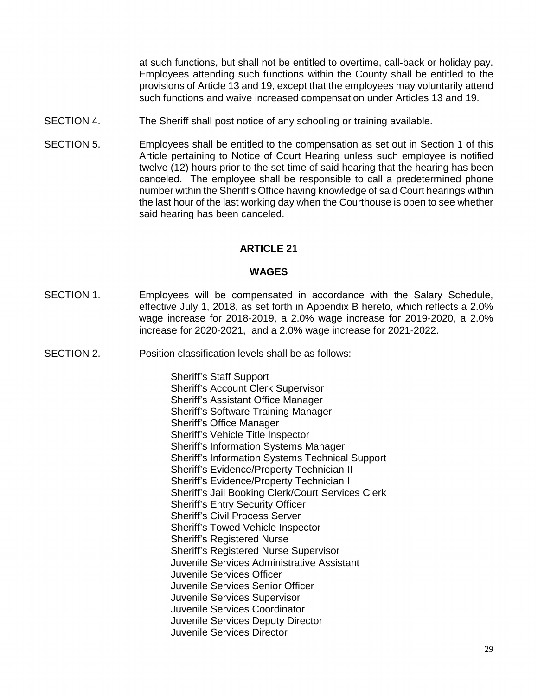at such functions, but shall not be entitled to overtime, call-back or holiday pay. Employees attending such functions within the County shall be entitled to the provisions of Article 13 and 19, except that the employees may voluntarily attend such functions and waive increased compensation under Articles 13 and 19.

- SECTION 4. The Sheriff shall post notice of any schooling or training available.
- SECTION 5. Employees shall be entitled to the compensation as set out in Section 1 of this Article pertaining to Notice of Court Hearing unless such employee is notified twelve (12) hours prior to the set time of said hearing that the hearing has been canceled. The employee shall be responsible to call a predetermined phone number within the Sheriff's Office having knowledge of said Court hearings within the last hour of the last working day when the Courthouse is open to see whether said hearing has been canceled.

# **ARTICLE 21**

#### **WAGES**

- SECTION 1. Employees will be compensated in accordance with the Salary Schedule, effective July 1, 2018, as set forth in Appendix B hereto, which reflects a 2.0% wage increase for 2018-2019, a 2.0% wage increase for 2019-2020, a 2.0% increase for 2020-2021, and a 2.0% wage increase for 2021-2022.
- SECTION 2. Position classification levels shall be as follows:

 Sheriff's Staff Support Sheriff's Account Clerk Supervisor Sheriff's Assistant Office Manager Sheriff's Software Training Manager Sheriff's Office Manager Sheriff's Vehicle Title Inspector Sheriff's Information Systems Manager Sheriff's Information Systems Technical Support Sheriff's Evidence/Property Technician II Sheriff's Evidence/Property Technician I Sheriff's Jail Booking Clerk/Court Services Clerk Sheriff's Entry Security Officer Sheriff's Civil Process Server Sheriff's Towed Vehicle Inspector Sheriff's Registered Nurse Sheriff's Registered Nurse Supervisor Juvenile Services Administrative Assistant Juvenile Services Officer Juvenile Services Senior Officer Juvenile Services Supervisor Juvenile Services Coordinator Juvenile Services Deputy Director Juvenile Services Director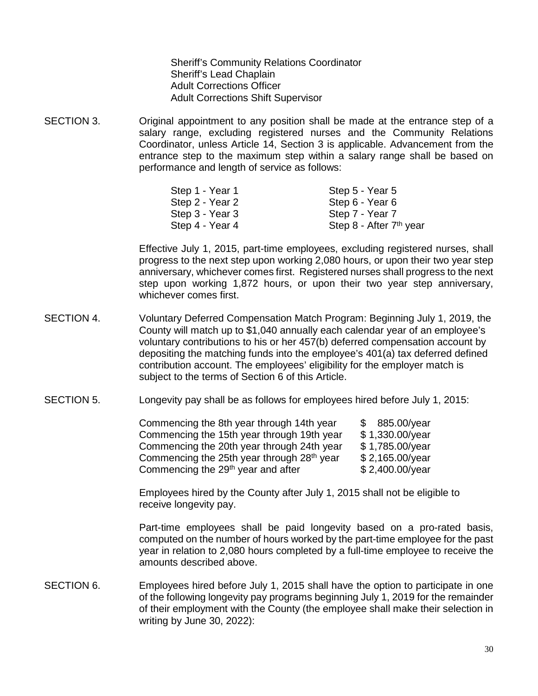Sheriff's Community Relations Coordinator Sheriff's Lead Chaplain Adult Corrections Officer Adult Corrections Shift Supervisor

SECTION 3. Original appointment to any position shall be made at the entrance step of a salary range, excluding registered nurses and the Community Relations Coordinator, unless Article 14, Section 3 is applicable. Advancement from the entrance step to the maximum step within a salary range shall be based on performance and length of service as follows:

| Step 1 - Year 1 | Step 5 - Year 5                     |
|-----------------|-------------------------------------|
| Step 2 - Year 2 | Step 6 - Year 6                     |
| Step 3 - Year 3 | Step 7 - Year 7                     |
| Step 4 - Year 4 | Step 8 - After 7 <sup>th</sup> year |

Effective July 1, 2015, part-time employees, excluding registered nurses, shall progress to the next step upon working 2,080 hours, or upon their two year step anniversary, whichever comes first. Registered nurses shall progress to the next step upon working 1,872 hours, or upon their two year step anniversary, whichever comes first.

- SECTION 4. Voluntary Deferred Compensation Match Program: Beginning July 1, 2019, the County will match up to \$1,040 annually each calendar year of an employee's voluntary contributions to his or her 457(b) deferred compensation account by depositing the matching funds into the employee's 401(a) tax deferred defined contribution account. The employees' eligibility for the employer match is subject to the terms of Section 6 of this Article.
- SECTION 5. Longevity pay shall be as follows for employees hired before July 1, 2015:

| Commencing the 8th year through 14th year      | \$885.00/year   |
|------------------------------------------------|-----------------|
| Commencing the 15th year through 19th year     | \$1,330.00/year |
| Commencing the 20th year through 24th year     | \$1,785.00/year |
| Commencing the 25th year through 28th year     | \$2,165.00/year |
| Commencing the 29 <sup>th</sup> year and after | \$2,400.00/year |

Employees hired by the County after July 1, 2015 shall not be eligible to receive longevity pay.

Part-time employees shall be paid longevity based on a pro-rated basis, computed on the number of hours worked by the part-time employee for the past year in relation to 2,080 hours completed by a full-time employee to receive the amounts described above.

SECTION 6. Employees hired before July 1, 2015 shall have the option to participate in one of the following longevity pay programs beginning July 1, 2019 for the remainder of their employment with the County (the employee shall make their selection in writing by June 30, 2022):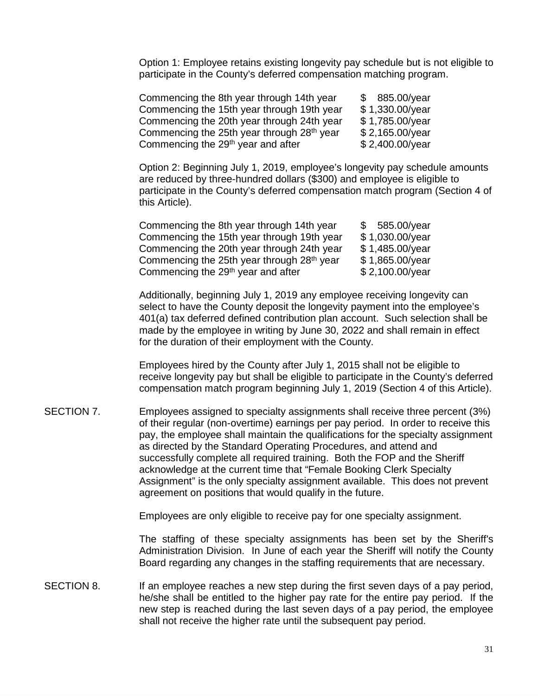Option 1: Employee retains existing longevity pay schedule but is not eligible to participate in the County's deferred compensation matching program.

Commencing the 8th year through 14th year  $$885.00/year$ Commencing the 15th year through 19th year  $$ 1,330.00$ /year Commencing the 20th year through 24th year  $$ 1,785.00/year$ Commencing the 25th year through  $28<sup>th</sup>$  year  $$ 2,165.00/year$ Commencing the 29th year and after\$ 2,400.00/year

Option 2: Beginning July 1, 2019, employee's longevity pay schedule amounts are reduced by three-hundred dollars (\$300) and employee is eligible to participate in the County's deferred compensation match program (Section 4 of this Article).

| Commencing the 8th year through 14th year              | \$585.00/year           |
|--------------------------------------------------------|-------------------------|
| Commencing the 15th year through 19th year             | \$1,030.00/year         |
| Commencing the 20th year through 24th year             | \$1,485.00/year         |
| Commencing the 25th year through 28 <sup>th</sup> year | \$1,865.00/year         |
| Commencing the 29 <sup>th</sup> year and after         | $$2,100.00/\text{year}$ |

Additionally, beginning July 1, 2019 any employee receiving longevity can select to have the County deposit the longevity payment into the employee's 401(a) tax deferred defined contribution plan account. Such selection shall be made by the employee in writing by June 30, 2022 and shall remain in effect for the duration of their employment with the County.

Employees hired by the County after July 1, 2015 shall not be eligible to receive longevity pay but shall be eligible to participate in the County's deferred compensation match program beginning July 1, 2019 (Section 4 of this Article).

SECTION 7. Employees assigned to specialty assignments shall receive three percent (3%) of their regular (non-overtime) earnings per pay period. In order to receive this pay, the employee shall maintain the qualifications for the specialty assignment as directed by the Standard Operating Procedures, and attend and successfully complete all required training. Both the FOP and the Sheriff acknowledge at the current time that "Female Booking Clerk Specialty Assignment" is the only specialty assignment available. This does not prevent agreement on positions that would qualify in the future.

Employees are only eligible to receive pay for one specialty assignment.

The staffing of these specialty assignments has been set by the Sheriff's Administration Division. In June of each year the Sheriff will notify the County Board regarding any changes in the staffing requirements that are necessary.

SECTION 8. If an employee reaches a new step during the first seven days of a pay period, he/she shall be entitled to the higher pay rate for the entire pay period. If the new step is reached during the last seven days of a pay period, the employee shall not receive the higher rate until the subsequent pay period.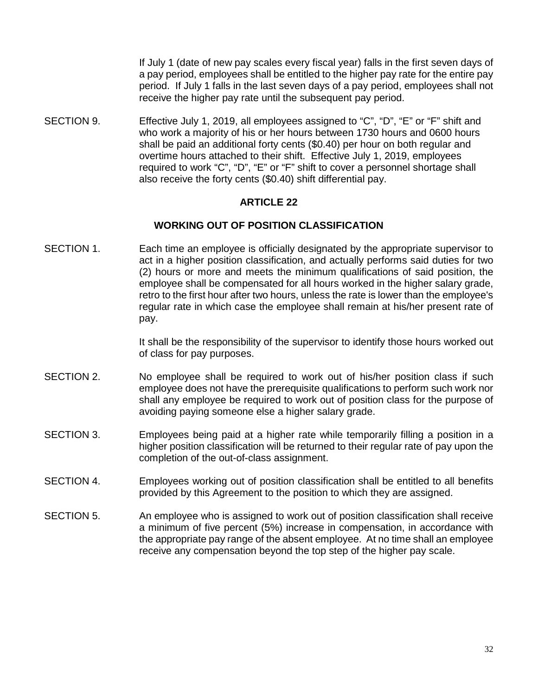If July 1 (date of new pay scales every fiscal year) falls in the first seven days of a pay period, employees shall be entitled to the higher pay rate for the entire pay period. If July 1 falls in the last seven days of a pay period, employees shall not receive the higher pay rate until the subsequent pay period.

SECTION 9. Effective July 1, 2019, all employees assigned to "C", "D", "E" or "F" shift and who work a majority of his or her hours between 1730 hours and 0600 hours shall be paid an additional forty cents (\$0.40) per hour on both regular and overtime hours attached to their shift. Effective July 1, 2019, employees required to work "C", "D", "E" or "F" shift to cover a personnel shortage shall also receive the forty cents (\$0.40) shift differential pay.

## **ARTICLE 22**

## **WORKING OUT OF POSITION CLASSIFICATION**

SECTION 1. Each time an employee is officially designated by the appropriate supervisor to act in a higher position classification, and actually performs said duties for two (2) hours or more and meets the minimum qualifications of said position, the employee shall be compensated for all hours worked in the higher salary grade, retro to the first hour after two hours, unless the rate is lower than the employee's regular rate in which case the employee shall remain at his/her present rate of pay.

> It shall be the responsibility of the supervisor to identify those hours worked out of class for pay purposes.

- SECTION 2. No employee shall be required to work out of his/her position class if such employee does not have the prerequisite qualifications to perform such work nor shall any employee be required to work out of position class for the purpose of avoiding paying someone else a higher salary grade.
- SECTION 3. Employees being paid at a higher rate while temporarily filling a position in a higher position classification will be returned to their regular rate of pay upon the completion of the out-of-class assignment.
- SECTION 4. Employees working out of position classification shall be entitled to all benefits provided by this Agreement to the position to which they are assigned.
- SECTION 5. An employee who is assigned to work out of position classification shall receive a minimum of five percent (5%) increase in compensation, in accordance with the appropriate pay range of the absent employee. At no time shall an employee receive any compensation beyond the top step of the higher pay scale.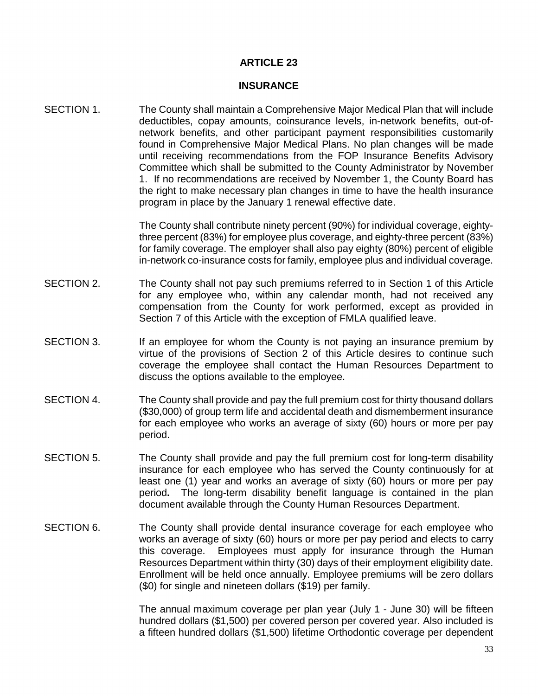# **ARTICLE 23**

#### **INSURANCE**

SECTION 1. The County shall maintain a Comprehensive Major Medical Plan that will include deductibles, copay amounts, coinsurance levels, in-network benefits, out-ofnetwork benefits, and other participant payment responsibilities customarily found in Comprehensive Major Medical Plans. No plan changes will be made until receiving recommendations from the FOP Insurance Benefits Advisory Committee which shall be submitted to the County Administrator by November 1. If no recommendations are received by November 1, the County Board has the right to make necessary plan changes in time to have the health insurance program in place by the January 1 renewal effective date.

> The County shall contribute ninety percent (90%) for individual coverage, eightythree percent (83%) for employee plus coverage, and eighty-three percent (83%) for family coverage. The employer shall also pay eighty (80%) percent of eligible in-network co-insurance costs for family, employee plus and individual coverage.

- SECTION 2. The County shall not pay such premiums referred to in Section 1 of this Article for any employee who, within any calendar month, had not received any compensation from the County for work performed, except as provided in Section 7 of this Article with the exception of FMLA qualified leave.
- SECTION 3. If an employee for whom the County is not paying an insurance premium by virtue of the provisions of Section 2 of this Article desires to continue such coverage the employee shall contact the Human Resources Department to discuss the options available to the employee.
- SECTION 4. The County shall provide and pay the full premium cost for thirty thousand dollars (\$30,000) of group term life and accidental death and dismemberment insurance for each employee who works an average of sixty (60) hours or more per pay period.
- SECTION 5. The County shall provide and pay the full premium cost for long-term disability insurance for each employee who has served the County continuously for at least one (1) year and works an average of sixty (60) hours or more per pay period**.** The long-term disability benefit language is contained in the plan document available through the County Human Resources Department.
- SECTION 6. The County shall provide dental insurance coverage for each employee who works an average of sixty (60) hours or more per pay period and elects to carry this coverage. Employees must apply for insurance through the Human Resources Department within thirty (30) days of their employment eligibility date. Enrollment will be held once annually. Employee premiums will be zero dollars (\$0) for single and nineteen dollars (\$19) per family.

The annual maximum coverage per plan year (July 1 - June 30) will be fifteen hundred dollars (\$1,500) per covered person per covered year. Also included is a fifteen hundred dollars (\$1,500) lifetime Orthodontic coverage per dependent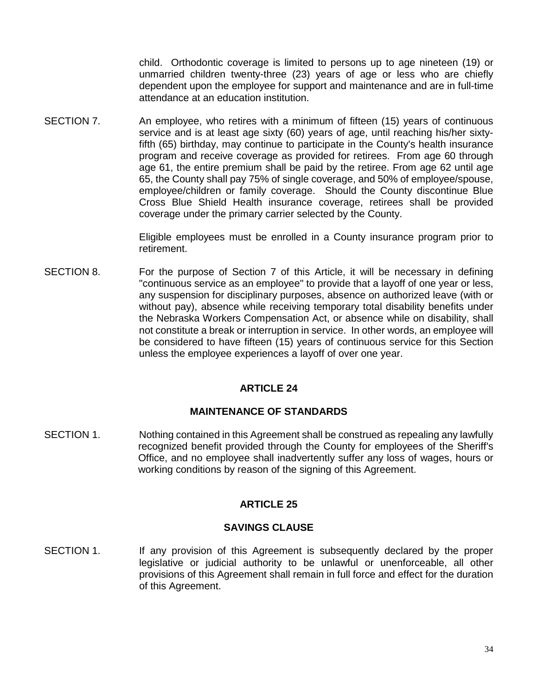child. Orthodontic coverage is limited to persons up to age nineteen (19) or unmarried children twenty-three (23) years of age or less who are chiefly dependent upon the employee for support and maintenance and are in full-time attendance at an education institution.

SECTION 7. An employee, who retires with a minimum of fifteen (15) years of continuous service and is at least age sixty (60) years of age, until reaching his/her sixtyfifth (65) birthday, may continue to participate in the County's health insurance program and receive coverage as provided for retirees. From age 60 through age 61, the entire premium shall be paid by the retiree. From age 62 until age 65, the County shall pay 75% of single coverage, and 50% of employee/spouse, employee/children or family coverage. Should the County discontinue Blue Cross Blue Shield Health insurance coverage, retirees shall be provided coverage under the primary carrier selected by the County.

> Eligible employees must be enrolled in a County insurance program prior to retirement.

SECTION 8. For the purpose of Section 7 of this Article, it will be necessary in defining "continuous service as an employee" to provide that a layoff of one year or less, any suspension for disciplinary purposes, absence on authorized leave (with or without pay), absence while receiving temporary total disability benefits under the Nebraska Workers Compensation Act, or absence while on disability, shall not constitute a break or interruption in service. In other words, an employee will be considered to have fifteen (15) years of continuous service for this Section unless the employee experiences a layoff of over one year.

# **ARTICLE 24**

# **MAINTENANCE OF STANDARDS**

SECTION 1. Nothing contained in this Agreement shall be construed as repealing any lawfully recognized benefit provided through the County for employees of the Sheriff's Office, and no employee shall inadvertently suffer any loss of wages, hours or working conditions by reason of the signing of this Agreement.

# **ARTICLE 25**

## **SAVINGS CLAUSE**

SECTION 1. If any provision of this Agreement is subsequently declared by the proper legislative or judicial authority to be unlawful or unenforceable, all other provisions of this Agreement shall remain in full force and effect for the duration of this Agreement.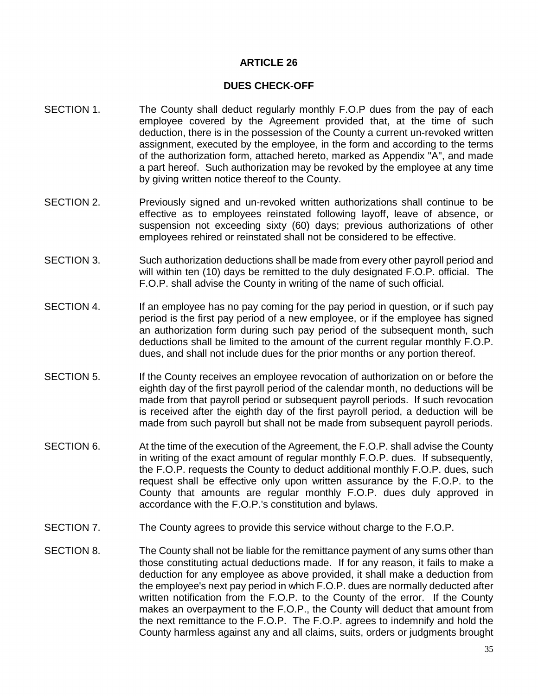# **ARTICLE 26**

#### **DUES CHECK-OFF**

- SECTION 1. The County shall deduct regularly monthly F.O.P dues from the pay of each employee covered by the Agreement provided that, at the time of such deduction, there is in the possession of the County a current un-revoked written assignment, executed by the employee, in the form and according to the terms of the authorization form, attached hereto, marked as Appendix "A", and made a part hereof. Such authorization may be revoked by the employee at any time by giving written notice thereof to the County.
- SECTION 2. Previously signed and un-revoked written authorizations shall continue to be effective as to employees reinstated following layoff, leave of absence, or suspension not exceeding sixty (60) days; previous authorizations of other employees rehired or reinstated shall not be considered to be effective.
- SECTION 3. Such authorization deductions shall be made from every other payroll period and will within ten (10) days be remitted to the duly designated F.O.P. official. The F.O.P. shall advise the County in writing of the name of such official.
- SECTION 4. If an employee has no pay coming for the pay period in question, or if such pay period is the first pay period of a new employee, or if the employee has signed an authorization form during such pay period of the subsequent month, such deductions shall be limited to the amount of the current regular monthly F.O.P. dues, and shall not include dues for the prior months or any portion thereof.
- SECTION 5. If the County receives an employee revocation of authorization on or before the eighth day of the first payroll period of the calendar month, no deductions will be made from that payroll period or subsequent payroll periods. If such revocation is received after the eighth day of the first payroll period, a deduction will be made from such payroll but shall not be made from subsequent payroll periods.
- SECTION 6. At the time of the execution of the Agreement, the F.O.P. shall advise the County in writing of the exact amount of regular monthly F.O.P. dues. If subsequently, the F.O.P. requests the County to deduct additional monthly F.O.P. dues, such request shall be effective only upon written assurance by the F.O.P. to the County that amounts are regular monthly F.O.P. dues duly approved in accordance with the F.O.P.'s constitution and bylaws.
- SECTION 7. The County agrees to provide this service without charge to the F.O.P.
- SECTION 8. The County shall not be liable for the remittance payment of any sums other than those constituting actual deductions made. If for any reason, it fails to make a deduction for any employee as above provided, it shall make a deduction from the employee's next pay period in which F.O.P. dues are normally deducted after written notification from the F.O.P. to the County of the error. If the County makes an overpayment to the F.O.P., the County will deduct that amount from the next remittance to the F.O.P. The F.O.P. agrees to indemnify and hold the County harmless against any and all claims, suits, orders or judgments brought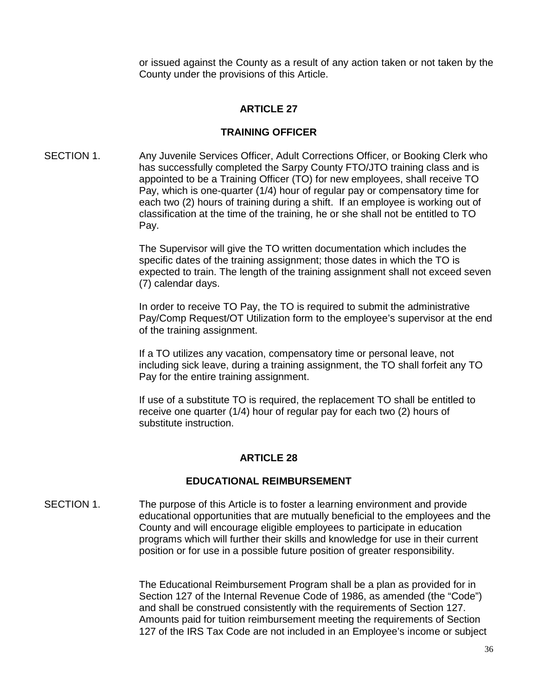or issued against the County as a result of any action taken or not taken by the County under the provisions of this Article.

## **ARTICLE 27**

#### **TRAINING OFFICER**

SECTION 1. Any Juvenile Services Officer, Adult Corrections Officer, or Booking Clerk who has successfully completed the Sarpy County FTO/JTO training class and is appointed to be a Training Officer (TO) for new employees, shall receive TO Pay, which is one-quarter (1/4) hour of regular pay or compensatory time for each two (2) hours of training during a shift. If an employee is working out of classification at the time of the training, he or she shall not be entitled to TO Pay.

> The Supervisor will give the TO written documentation which includes the specific dates of the training assignment; those dates in which the TO is expected to train. The length of the training assignment shall not exceed seven (7) calendar days.

> In order to receive TO Pay, the TO is required to submit the administrative Pay/Comp Request/OT Utilization form to the employee's supervisor at the end of the training assignment.

If a TO utilizes any vacation, compensatory time or personal leave, not including sick leave, during a training assignment, the TO shall forfeit any TO Pay for the entire training assignment.

If use of a substitute TO is required, the replacement TO shall be entitled to receive one quarter (1/4) hour of regular pay for each two (2) hours of substitute instruction.

## **ARTICLE 28**

## **EDUCATIONAL REIMBURSEMENT**

SECTION 1. The purpose of this Article is to foster a learning environment and provide educational opportunities that are mutually beneficial to the employees and the County and will encourage eligible employees to participate in education programs which will further their skills and knowledge for use in their current position or for use in a possible future position of greater responsibility.

> The Educational Reimbursement Program shall be a plan as provided for in Section 127 of the Internal Revenue Code of 1986, as amended (the "Code") and shall be construed consistently with the requirements of Section 127. Amounts paid for tuition reimbursement meeting the requirements of Section 127 of the IRS Tax Code are not included in an Employee's income or subject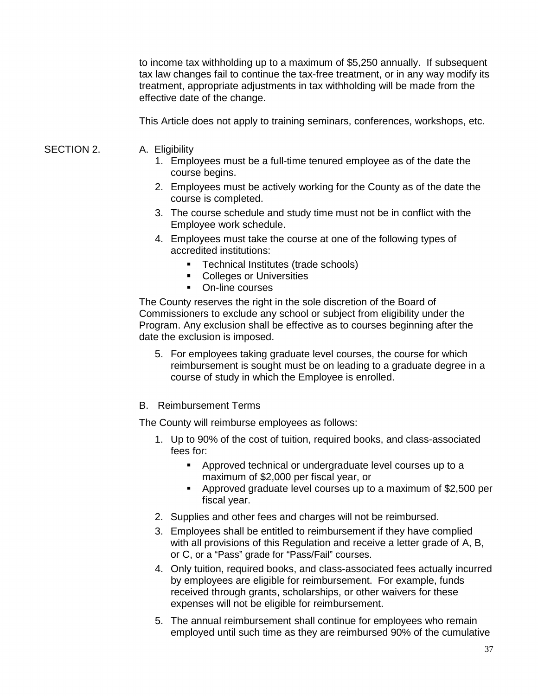to income tax withholding up to a maximum of \$5,250 annually. If subsequent tax law changes fail to continue the tax-free treatment, or in any way modify its treatment, appropriate adjustments in tax withholding will be made from the effective date of the change.

This Article does not apply to training seminars, conferences, workshops, etc.

- SECTION 2. A. Eligibility
	- 1. Employees must be a full-time tenured employee as of the date the course begins.
	- 2. Employees must be actively working for the County as of the date the course is completed.
	- 3. The course schedule and study time must not be in conflict with the Employee work schedule.
	- 4. Employees must take the course at one of the following types of accredited institutions:
		- Technical Institutes (trade schools)
		- **Colleges or Universities**
		- **•** On-line courses

The County reserves the right in the sole discretion of the Board of Commissioners to exclude any school or subject from eligibility under the Program. Any exclusion shall be effective as to courses beginning after the date the exclusion is imposed.

- 5. For employees taking graduate level courses, the course for which reimbursement is sought must be on leading to a graduate degree in a course of study in which the Employee is enrolled.
- B. Reimbursement Terms

The County will reimburse employees as follows:

- 1. Up to 90% of the cost of tuition, required books, and class-associated fees for:
	- **Approved technical or undergraduate level courses up to a** maximum of \$2,000 per fiscal year, or
	- Approved graduate level courses up to a maximum of \$2,500 per fiscal year.
- 2. Supplies and other fees and charges will not be reimbursed.
- 3. Employees shall be entitled to reimbursement if they have complied with all provisions of this Regulation and receive a letter grade of A, B, or C, or a "Pass" grade for "Pass/Fail" courses.
- 4. Only tuition, required books, and class-associated fees actually incurred by employees are eligible for reimbursement. For example, funds received through grants, scholarships, or other waivers for these expenses will not be eligible for reimbursement.
- 5. The annual reimbursement shall continue for employees who remain employed until such time as they are reimbursed 90% of the cumulative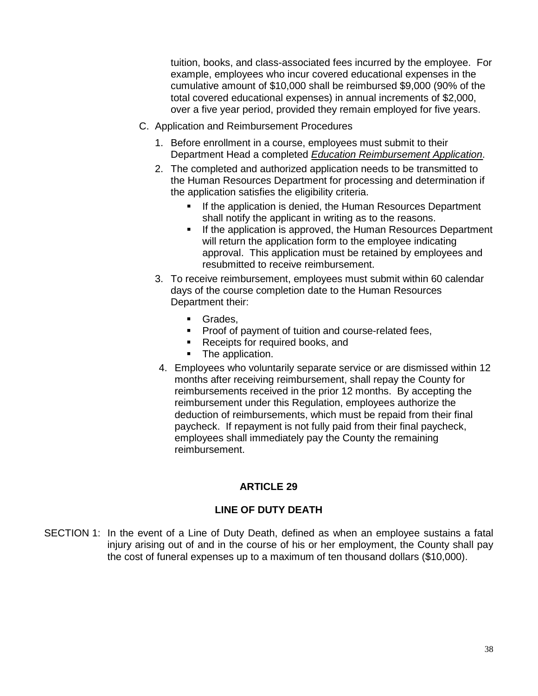tuition, books, and class-associated fees incurred by the employee. For example, employees who incur covered educational expenses in the cumulative amount of \$10,000 shall be reimbursed \$9,000 (90% of the total covered educational expenses) in annual increments of \$2,000, over a five year period, provided they remain employed for five years.

- C. Application and Reimbursement Procedures
	- 1. Before enrollment in a course, employees must submit to their Department Head a completed *Education Reimbursement Application*.
	- 2. The completed and authorized application needs to be transmitted to the Human Resources Department for processing and determination if the application satisfies the eligibility criteria.
		- If the application is denied, the Human Resources Department shall notify the applicant in writing as to the reasons.
		- If the application is approved, the Human Resources Department will return the application form to the employee indicating approval. This application must be retained by employees and resubmitted to receive reimbursement.
	- 3. To receive reimbursement, employees must submit within 60 calendar days of the course completion date to the Human Resources Department their:
		- Grades.
		- **Proof of payment of tuition and course-related fees,**
		- Receipts for required books, and
		- The application.
	- 4. Employees who voluntarily separate service or are dismissed within 12 months after receiving reimbursement, shall repay the County for reimbursements received in the prior 12 months. By accepting the reimbursement under this Regulation, employees authorize the deduction of reimbursements, which must be repaid from their final paycheck. If repayment is not fully paid from their final paycheck, employees shall immediately pay the County the remaining reimbursement.

# **ARTICLE 29**

# **LINE OF DUTY DEATH**

SECTION 1: In the event of a Line of Duty Death, defined as when an employee sustains a fatal injury arising out of and in the course of his or her employment, the County shall pay the cost of funeral expenses up to a maximum of ten thousand dollars (\$10,000).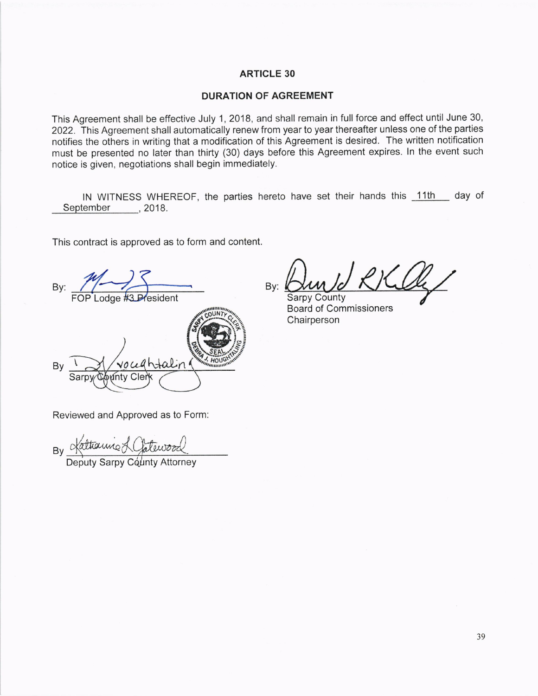#### ARTICLE 30

#### DURATION OF AGREEMENT

This Agreement shall be effective July 1, 2018, and shall remain in full force and effect until June 30, 2022. This Agreement shall automatically renew from year to year thereafter unless one of the parties notifies the others in writing that a modification of this Agreement is desired. The written notification must be presented no later than thirty (30) days before this Agreement expires. ln the event such notice is given, negotiations shall begin immediately.

IN WITNESS WHEREOF, the parties hereto have set their hands this 11th day of September , 2018.

This contract is approved as to form and content.

By: MOP Lodge #3 President

HOL By Sarpy ontv

By: **Sarpy County** 

Chairperson Board of Commissioners

Reviewed and Approved as to Form:

By Kathamic & Clatewood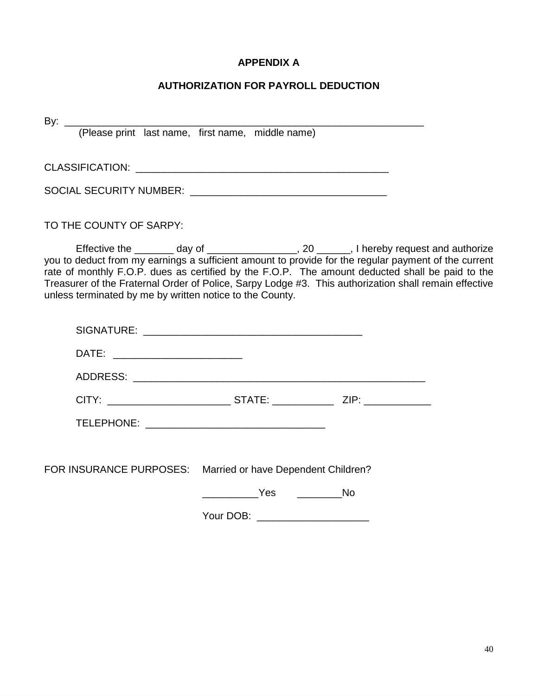# **APPENDIX A**

# **AUTHORIZATION FOR PAYROLL DEDUCTION**

By: \_\_\_\_\_\_\_\_\_\_\_\_\_\_\_\_\_\_\_\_\_\_\_\_\_\_\_\_\_\_\_\_\_\_\_\_\_\_\_\_\_\_\_\_\_\_\_\_\_\_\_\_\_\_\_\_\_\_\_\_\_\_\_\_ (Please print last name, first name, middle name) CLASSIFICATION: \_\_\_\_\_\_\_\_\_\_\_\_\_\_\_\_\_\_\_\_\_\_\_\_\_\_\_\_\_\_\_\_\_\_\_\_\_\_\_\_\_\_\_\_\_

SOCIAL SECURITY NUMBER: \_\_\_\_\_\_\_\_\_\_\_\_\_\_\_\_\_\_\_\_\_\_\_\_\_\_\_\_\_\_\_\_\_\_\_

TO THE COUNTY OF SARPY:

Effective the \_\_\_\_\_\_\_\_ day of \_\_\_\_\_\_\_\_\_\_\_\_\_\_\_\_\_, 20 \_\_\_\_\_\_, I hereby request and authorize you to deduct from my earnings a sufficient amount to provide for the regular payment of the current rate of monthly F.O.P. dues as certified by the F.O.P. The amount deducted shall be paid to the Treasurer of the Fraternal Order of Police, Sarpy Lodge #3. This authorization shall remain effective unless terminated by me by written notice to the County.

| DATE: _________________________                             |                                                                                   |  |
|-------------------------------------------------------------|-----------------------------------------------------------------------------------|--|
|                                                             |                                                                                   |  |
|                                                             | CITY: ___________________________________STATE: _________________________________ |  |
|                                                             |                                                                                   |  |
|                                                             |                                                                                   |  |
| FOR INSURANCE PURPOSES: Married or have Dependent Children? |                                                                                   |  |
|                                                             | Yes No                                                                            |  |
|                                                             |                                                                                   |  |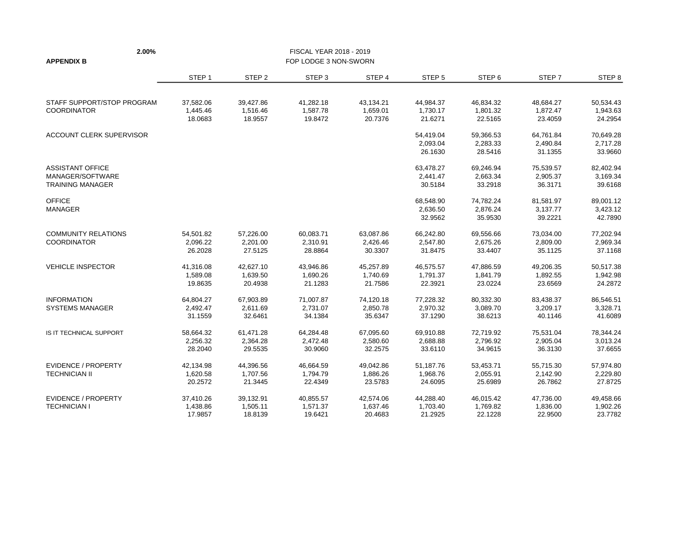| 2.00%                                       |                     |                     | FISCAL YEAR 2018 - 2019 |                     |                     |                     |                     |                     |
|---------------------------------------------|---------------------|---------------------|-------------------------|---------------------|---------------------|---------------------|---------------------|---------------------|
| <b>APPENDIX B</b>                           |                     |                     | FOP LODGE 3 NON-SWORN   |                     |                     |                     |                     |                     |
|                                             | STEP <sub>1</sub>   | STEP <sub>2</sub>   | STEP <sub>3</sub>       | STEP 4              | STEP <sub>5</sub>   | STEP <sub>6</sub>   | STEP <sub>7</sub>   | STEP 8              |
| STAFF SUPPORT/STOP PROGRAM                  | 37,582.06           | 39,427.86           | 41,282.18               | 43,134.21           | 44,984.37           | 46,834.32           | 48,684.27           | 50,534.43           |
| <b>COORDINATOR</b>                          | 1,445.46<br>18.0683 | 1,516.46<br>18.9557 | 1,587.78<br>19.8472     | 1,659.01<br>20.7376 | 1,730.17<br>21.6271 | 1,801.32<br>22.5165 | 1,872.47<br>23.4059 | 1,943.63<br>24.2954 |
| ACCOUNT CLERK SUPERVISOR                    |                     |                     |                         |                     | 54,419.04           | 59,366.53           | 64,761.84           | 70,649.28           |
|                                             |                     |                     |                         |                     | 2,093.04<br>26.1630 | 2,283.33<br>28.5416 | 2,490.84<br>31.1355 | 2,717.28<br>33.9660 |
| <b>ASSISTANT OFFICE</b>                     |                     |                     |                         |                     | 63,478.27           | 69,246.94           | 75,539.57           | 82,402.94           |
| MANAGER/SOFTWARE<br><b>TRAINING MANAGER</b> |                     |                     |                         |                     | 2,441.47<br>30.5184 | 2,663.34<br>33.2918 | 2,905.37<br>36.3171 | 3,169.34<br>39.6168 |
| <b>OFFICE</b>                               |                     |                     |                         |                     | 68,548.90           | 74,782.24           | 81,581.97           | 89,001.12           |
| MANAGER                                     |                     |                     |                         |                     | 2,636.50<br>32.9562 | 2,876.24<br>35.9530 | 3,137.77<br>39.2221 | 3,423.12<br>42.7890 |
| <b>COMMUNITY RELATIONS</b>                  | 54,501.82           | 57,226.00           | 60,083.71               | 63,087.86           | 66,242.80           | 69,556.66           | 73,034.00           | 77,202.94           |
| <b>COORDINATOR</b>                          | 2,096.22<br>26.2028 | 2,201.00<br>27.5125 | 2,310.91<br>28.8864     | 2,426.46<br>30.3307 | 2,547.80<br>31.8475 | 2,675.26<br>33.4407 | 2,809.00<br>35.1125 | 2,969.34<br>37.1168 |
| <b>VEHICLE INSPECTOR</b>                    | 41,316.08           | 42,627.10           | 43,946.86               | 45,257.89           | 46,575.57           | 47,886.59           | 49,206.35           | 50,517.38           |
|                                             | 1,589.08<br>19.8635 | 1,639.50<br>20.4938 | 1,690.26<br>21.1283     | 1,740.69<br>21.7586 | 1,791.37<br>22.3921 | 1,841.79<br>23.0224 | 1,892.55<br>23.6569 | 1,942.98<br>24.2872 |
| <b>INFORMATION</b>                          | 64,804.27           | 67,903.89           | 71,007.87               | 74,120.18           | 77,228.32           | 80,332.30           | 83,438.37           | 86,546.51           |
| <b>SYSTEMS MANAGER</b>                      | 2,492.47<br>31.1559 | 2,611.69<br>32.6461 | 2,731.07<br>34.1384     | 2,850.78<br>35.6347 | 2,970.32<br>37.1290 | 3,089.70<br>38.6213 | 3,209.17<br>40.1146 | 3,328.71<br>41.6089 |
| IS IT TECHNICAL SUPPORT                     | 58,664.32           | 61,471.28           | 64,284.48               | 67,095.60           | 69,910.88           | 72,719.92           | 75,531.04           | 78,344.24           |
|                                             | 2,256.32<br>28.2040 | 2,364.28<br>29.5535 | 2,472.48<br>30.9060     | 2,580.60<br>32.2575 | 2,688.88<br>33.6110 | 2,796.92<br>34.9615 | 2,905.04<br>36.3130 | 3,013.24<br>37.6655 |
| <b>EVIDENCE / PROPERTY</b>                  | 42,134.98           | 44,396.56           | 46,664.59               | 49,042.86           | 51,187.76           | 53,453.71           | 55,715.30           | 57,974.80           |
| <b>TECHNICIAN II</b>                        | 1,620.58<br>20.2572 | 1,707.56<br>21.3445 | 1,794.79<br>22.4349     | 1,886.26<br>23.5783 | 1,968.76<br>24.6095 | 2,055.91<br>25.6989 | 2,142.90<br>26.7862 | 2,229.80<br>27.8725 |
| <b>EVIDENCE / PROPERTY</b>                  | 37,410.26           | 39,132.91           | 40,855.57               | 42,574.06           | 44,288.40           | 46,015.42           | 47,736.00           | 49,458.66           |
| <b>TECHNICIAN I</b>                         | 1,438.86<br>17.9857 | 1,505.11<br>18.8139 | 1,571.37<br>19.6421     | 1,637.46<br>20.4683 | 1,703.40<br>21.2925 | 1,769.82<br>22.1228 | 1,836.00<br>22.9500 | 1,902.26<br>23.7782 |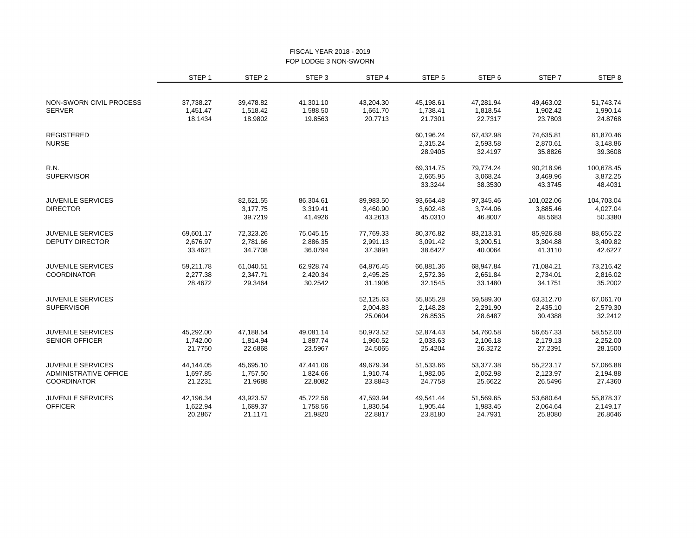#### FISCAL YEAR 2018 - 2019 FOP LODGE 3 NON-SWORN

|                          | STEP <sub>1</sub> | STEP <sub>2</sub> | STEP <sub>3</sub> | STEP 4    | STEP 5    | STEP 6    | STEP <sub>7</sub> | STEP <sub>8</sub> |
|--------------------------|-------------------|-------------------|-------------------|-----------|-----------|-----------|-------------------|-------------------|
|                          |                   |                   |                   |           |           |           |                   |                   |
| NON-SWORN CIVIL PROCESS  | 37,738.27         | 39,478.82         | 41,301.10         | 43,204.30 | 45,198.61 | 47,281.94 | 49,463.02         | 51,743.74         |
| <b>SERVER</b>            | 1,451.47          | 1,518.42          | 1,588.50          | 1,661.70  | 1,738.41  | 1,818.54  | 1,902.42          | 1,990.14          |
|                          | 18.1434           | 18.9802           | 19.8563           | 20.7713   | 21.7301   | 22.7317   | 23.7803           | 24.8768           |
| <b>REGISTERED</b>        |                   |                   |                   |           | 60,196.24 | 67,432.98 | 74,635.81         | 81,870.46         |
| <b>NURSE</b>             |                   |                   |                   |           | 2,315.24  | 2,593.58  | 2,870.61          | 3,148.86          |
|                          |                   |                   |                   |           | 28.9405   | 32.4197   | 35.8826           | 39.3608           |
| <b>R.N.</b>              |                   |                   |                   |           | 69,314.75 | 79,774.24 | 90,218.96         | 100,678.45        |
| <b>SUPERVISOR</b>        |                   |                   |                   |           | 2,665.95  | 3,068.24  | 3,469.96          | 3,872.25          |
|                          |                   |                   |                   |           | 33.3244   | 38.3530   | 43.3745           | 48.4031           |
| <b>JUVENILE SERVICES</b> |                   | 82,621.55         | 86,304.61         | 89,983.50 | 93,664.48 | 97,345.46 | 101,022.06        | 104,703.04        |
| <b>DIRECTOR</b>          |                   | 3,177.75          | 3,319.41          | 3,460.90  | 3,602.48  | 3,744.06  | 3,885.46          | 4,027.04          |
|                          |                   | 39.7219           | 41.4926           | 43.2613   | 45.0310   | 46.8007   | 48.5683           | 50.3380           |
| <b>JUVENILE SERVICES</b> | 69,601.17         | 72,323.26         | 75,045.15         | 77,769.33 | 80,376.82 | 83,213.31 | 85,926.88         | 88,655.22         |
| <b>DEPUTY DIRECTOR</b>   | 2,676.97          | 2,781.66          | 2,886.35          | 2,991.13  | 3,091.42  | 3,200.51  | 3,304.88          | 3,409.82          |
|                          | 33.4621           | 34.7708           | 36.0794           | 37.3891   | 38.6427   | 40.0064   | 41.3110           | 42.6227           |
| <b>JUVENILE SERVICES</b> | 59,211.78         | 61,040.51         | 62,928.74         | 64,876.45 | 66,881.36 | 68,947.84 | 71,084.21         | 73,216.42         |
| <b>COORDINATOR</b>       | 2,277.38          | 2,347.71          | 2,420.34          | 2,495.25  | 2,572.36  | 2,651.84  | 2,734.01          | 2,816.02          |
|                          | 28.4672           | 29.3464           | 30.2542           | 31.1906   | 32.1545   | 33.1480   | 34.1751           | 35.2002           |
| <b>JUVENILE SERVICES</b> |                   |                   |                   | 52,125.63 | 55,855.28 | 59,589.30 | 63,312.70         | 67,061.70         |
| <b>SUPERVISOR</b>        |                   |                   |                   | 2,004.83  | 2,148.28  | 2,291.90  | 2,435.10          | 2,579.30          |
|                          |                   |                   |                   | 25.0604   | 26.8535   | 28.6487   | 30.4388           | 32.2412           |
| <b>JUVENILE SERVICES</b> | 45,292.00         | 47,188.54         | 49,081.14         | 50,973.52 | 52,874.43 | 54,760.58 | 56,657.33         | 58,552.00         |
| <b>SENIOR OFFICER</b>    | 1,742.00          | 1,814.94          | 1,887.74          | 1,960.52  | 2,033.63  | 2,106.18  | 2,179.13          | 2,252.00          |
|                          | 21.7750           | 22.6868           | 23.5967           | 24.5065   | 25.4204   | 26.3272   | 27.2391           | 28.1500           |
| <b>JUVENILE SERVICES</b> | 44,144.05         | 45,695.10         | 47,441.06         | 49,679.34 | 51,533.66 | 53,377.38 | 55,223.17         | 57,066.88         |
| ADMINISTRATIVE OFFICE    | 1,697.85          | 1,757.50          | 1,824.66          | 1,910.74  | 1,982.06  | 2,052.98  | 2,123.97          | 2,194.88          |
| <b>COORDINATOR</b>       | 21.2231           | 21.9688           | 22.8082           | 23.8843   | 24.7758   | 25.6622   | 26.5496           | 27.4360           |
| <b>JUVENILE SERVICES</b> | 42,196.34         | 43,923.57         | 45,722.56         | 47,593.94 | 49,541.44 | 51,569.65 | 53,680.64         | 55,878.37         |
| <b>OFFICER</b>           | 1,622.94          | 1,689.37          | 1,758.56          | 1,830.54  | 1,905.44  | 1,983.45  | 2,064.64          | 2,149.17          |
|                          | 20.2867           | 21.1171           | 21.9820           | 22.8817   | 23.8180   | 24.7931   | 25.8080           | 26.8646           |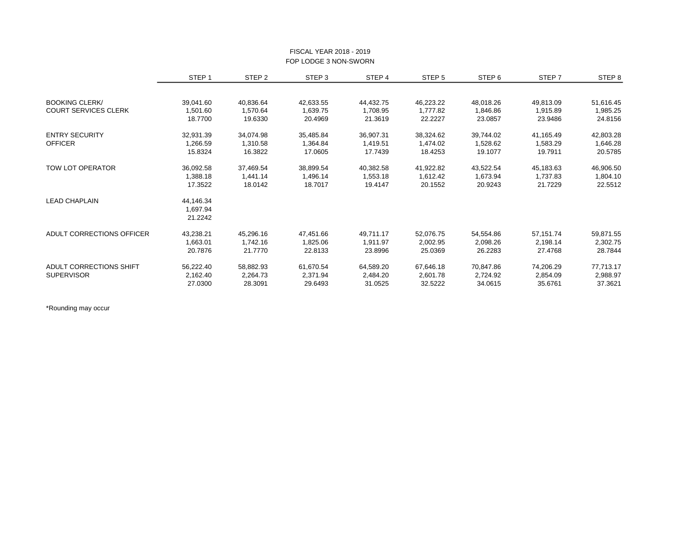|                             | STEP <sub>1</sub> | STEP <sub>2</sub> | STEP <sub>3</sub> | STEP 4    | STEP <sub>5</sub> | STEP 6    | STEP 7    | STEP <sub>8</sub> |
|-----------------------------|-------------------|-------------------|-------------------|-----------|-------------------|-----------|-----------|-------------------|
|                             |                   |                   |                   |           |                   |           |           |                   |
| <b>BOOKING CLERK/</b>       | 39,041.60         | 40,836.64         | 42,633.55         | 44,432.75 | 46,223.22         | 48,018.26 | 49,813.09 | 51,616.45         |
| <b>COURT SERVICES CLERK</b> | 1,501.60          | 1,570.64          | 1,639.75          | 1,708.95  | 1,777.82          | 1,846.86  | 1,915.89  | 1,985.25          |
|                             | 18.7700           | 19.6330           | 20.4969           | 21.3619   | 22.2227           | 23.0857   | 23.9486   | 24.8156           |
| <b>ENTRY SECURITY</b>       | 32,931.39         | 34,074.98         | 35,485.84         | 36,907.31 | 38,324.62         | 39,744.02 | 41,165.49 | 42,803.28         |
| <b>OFFICER</b>              | 1,266.59          | 1,310.58          | 1,364.84          | 1,419.51  | 1,474.02          | 1,528.62  | 1,583.29  | 1,646.28          |
|                             | 15.8324           | 16.3822           | 17.0605           | 17.7439   | 18.4253           | 19.1077   | 19.7911   | 20.5785           |
| <b>TOW LOT OPERATOR</b>     | 36,092.58         | 37,469.54         | 38,899.54         | 40,382.58 | 41,922.82         | 43,522.54 | 45,183.63 | 46,906.50         |
|                             | 1,388.18          | 1,441.14          | 1,496.14          | 1,553.18  | 1,612.42          | 1,673.94  | 1,737.83  | 1,804.10          |
|                             | 17.3522           | 18.0142           | 18.7017           | 19.4147   | 20.1552           | 20.9243   | 21.7229   | 22.5512           |
| <b>LEAD CHAPLAIN</b>        | 44,146.34         |                   |                   |           |                   |           |           |                   |
|                             | 1,697.94          |                   |                   |           |                   |           |           |                   |
|                             | 21.2242           |                   |                   |           |                   |           |           |                   |
| ADULT CORRECTIONS OFFICER   | 43,238.21         | 45,296.16         | 47,451.66         | 49,711.17 | 52,076.75         | 54,554.86 | 57,151.74 | 59,871.55         |
|                             | 1,663.01          | 1,742.16          | 1,825.06          | 1,911.97  | 2,002.95          | 2,098.26  | 2,198.14  | 2,302.75          |
|                             | 20.7876           | 21.7770           | 22.8133           | 23.8996   | 25.0369           | 26.2283   | 27.4768   | 28.7844           |
| ADULT CORRECTIONS SHIFT     | 56,222.40         | 58,882.93         | 61,670.54         | 64,589.20 | 67,646.18         | 70,847.86 | 74,206.29 | 77,713.17         |
| <b>SUPERVISOR</b>           | 2,162.40          | 2,264.73          | 2,371.94          | 2,484.20  | 2,601.78          | 2,724.92  | 2,854.09  | 2,988.97          |
|                             | 27.0300           | 28.3091           | 29.6493           | 31.0525   | 32.5222           | 34.0615   | 35.6761   | 37.3621           |

#### FISCAL YEAR 2018 - 2019 FOP LODGE 3 NON-SWORN

\*Rounding may occur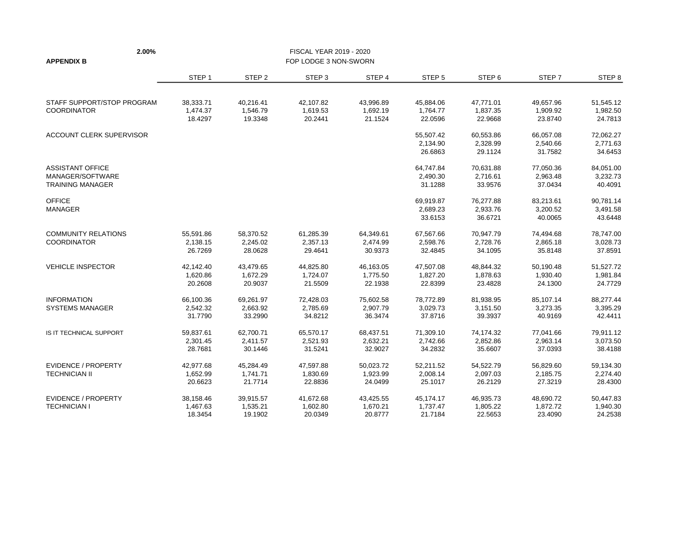| 2.00%                      |                   |                   | FISCAL YEAR 2019 - 2020 |           |                   |                   |           |                   |
|----------------------------|-------------------|-------------------|-------------------------|-----------|-------------------|-------------------|-----------|-------------------|
| <b>APPENDIX B</b>          |                   |                   | FOP LODGE 3 NON-SWORN   |           |                   |                   |           |                   |
|                            | STEP <sub>1</sub> | STEP <sub>2</sub> | STEP <sub>3</sub>       | STEP 4    | STEP <sub>5</sub> | STEP <sub>6</sub> | STEP 7    | STEP <sub>8</sub> |
| STAFF SUPPORT/STOP PROGRAM | 38,333.71         | 40,216.41         | 42,107.82               | 43,996.89 | 45,884.06         | 47,771.01         | 49,657.96 | 51,545.12         |
| <b>COORDINATOR</b>         | 1,474.37          | 1,546.79          | 1,619.53                | 1,692.19  | 1,764.77          | 1,837.35          | 1,909.92  | 1,982.50          |
|                            | 18.4297           | 19.3348           | 20.2441                 | 21.1524   | 22.0596           | 22.9668           | 23.8740   | 24.7813           |
| ACCOUNT CLERK SUPERVISOR   |                   |                   |                         |           | 55,507.42         | 60,553.86         | 66,057.08 | 72,062.27         |
|                            |                   |                   |                         |           | 2,134.90          | 2,328.99          | 2,540.66  | 2,771.63          |
|                            |                   |                   |                         |           | 26.6863           | 29.1124           | 31.7582   | 34.6453           |
| <b>ASSISTANT OFFICE</b>    |                   |                   |                         |           | 64,747.84         | 70,631.88         | 77,050.36 | 84,051.00         |
| MANAGER/SOFTWARE           |                   |                   |                         |           | 2,490.30          | 2,716.61          | 2,963.48  | 3,232.73          |
| <b>TRAINING MANAGER</b>    |                   |                   |                         |           | 31.1288           | 33.9576           | 37.0434   | 40.4091           |
| <b>OFFICE</b>              |                   |                   |                         |           | 69,919.87         | 76,277.88         | 83,213.61 | 90,781.14         |
| <b>MANAGER</b>             |                   |                   |                         |           | 2,689.23          | 2,933.76          | 3,200.52  | 3,491.58          |
|                            |                   |                   |                         |           | 33.6153           | 36.6721           | 40.0065   | 43.6448           |
| <b>COMMUNITY RELATIONS</b> | 55,591.86         | 58,370.52         | 61,285.39               | 64,349.61 | 67,567.66         | 70,947.79         | 74,494.68 | 78.747.00         |
| <b>COORDINATOR</b>         | 2,138.15          | 2,245.02          | 2,357.13                | 2,474.99  | 2,598.76          | 2,728.76          | 2,865.18  | 3,028.73          |
|                            | 26.7269           | 28.0628           | 29.4641                 | 30.9373   | 32.4845           | 34.1095           | 35.8148   | 37.8591           |
| <b>VEHICLE INSPECTOR</b>   | 42,142.40         | 43,479.65         | 44,825.80               | 46,163.05 | 47,507.08         | 48,844.32         | 50,190.48 | 51,527.72         |
|                            | 1,620.86          | 1,672.29          | 1,724.07                | 1,775.50  | 1,827.20          | 1,878.63          | 1,930.40  | 1,981.84          |
|                            | 20.2608           | 20.9037           | 21.5509                 | 22.1938   | 22.8399           | 23.4828           | 24.1300   | 24.7729           |
| <b>INFORMATION</b>         | 66,100.36         | 69,261.97         | 72,428.03               | 75,602.58 | 78,772.89         | 81,938.95         | 85,107.14 | 88,277.44         |
| <b>SYSTEMS MANAGER</b>     | 2,542.32          | 2,663.92          | 2,785.69                | 2,907.79  | 3,029.73          | 3,151.50          | 3,273.35  | 3,395.29          |
|                            | 31.7790           | 33.2990           | 34.8212                 | 36.3474   | 37.8716           | 39.3937           | 40.9169   | 42.4411           |
| IS IT TECHNICAL SUPPORT    | 59,837.61         | 62,700.71         | 65,570.17               | 68,437.51 | 71,309.10         | 74,174.32         | 77,041.66 | 79,911.12         |
|                            | 2,301.45          | 2,411.57          | 2,521.93                | 2,632.21  | 2,742.66          | 2,852.86          | 2,963.14  | 3,073.50          |
|                            | 28.7681           | 30.1446           | 31.5241                 | 32.9027   | 34.2832           | 35.6607           | 37.0393   | 38.4188           |
| <b>EVIDENCE / PROPERTY</b> | 42,977.68         | 45,284.49         | 47,597.88               | 50,023.72 | 52,211.52         | 54,522.79         | 56,829.60 | 59,134.30         |
| <b>TECHNICIAN II</b>       | 1,652.99          | 1,741.71          | 1,830.69                | 1,923.99  | 2,008.14          | 2,097.03          | 2,185.75  | 2,274.40          |
|                            | 20.6623           | 21.7714           | 22.8836                 | 24.0499   | 25.1017           | 26.2129           | 27.3219   | 28.4300           |
| <b>EVIDENCE / PROPERTY</b> | 38,158.46         | 39,915.57         | 41,672.68               | 43,425.55 | 45,174.17         | 46,935.73         | 48,690.72 | 50,447.83         |
| <b>TECHNICIAN I</b>        | 1,467.63          | 1,535.21          | 1,602.80                | 1,670.21  | 1,737.47          | 1,805.22          | 1,872.72  | 1,940.30          |
|                            | 18.3454           | 19.1902           | 20.0349                 | 20.8777   | 21.7184           | 22.5653           | 23.4090   | 24.2538           |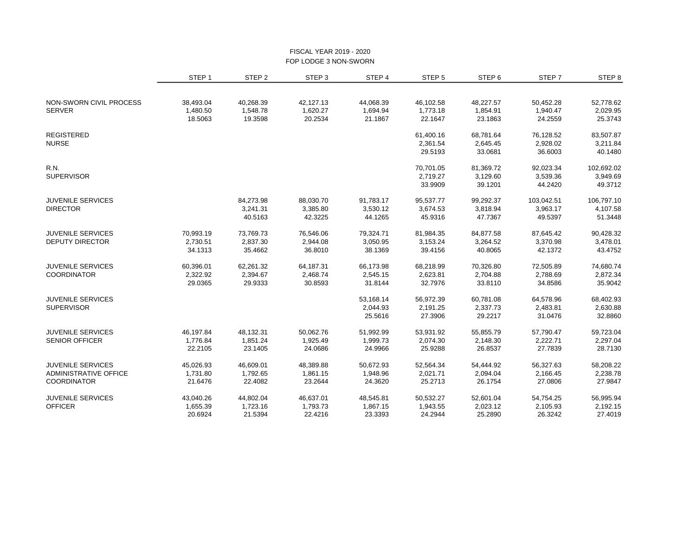#### FISCAL YEAR 2019 - 2020 FOP LODGE 3 NON-SWORN

|                          | STEP <sub>1</sub> | STEP <sub>2</sub> | STEP <sub>3</sub> | STEP 4    | STEP <sub>5</sub> | STEP <sub>6</sub> | STEP <sub>7</sub> | STEP <sub>8</sub> |
|--------------------------|-------------------|-------------------|-------------------|-----------|-------------------|-------------------|-------------------|-------------------|
|                          |                   |                   |                   |           |                   |                   |                   |                   |
| NON-SWORN CIVIL PROCESS  | 38,493.04         | 40,268.39         | 42,127.13         | 44,068.39 | 46,102.58         | 48,227.57         | 50,452.28         | 52,778.62         |
| <b>SERVER</b>            | 1,480.50          | 1,548.78          | 1,620.27          | 1,694.94  | 1,773.18          | 1,854.91          | 1,940.47          | 2,029.95          |
|                          | 18.5063           | 19.3598           | 20.2534           | 21.1867   | 22.1647           | 23.1863           | 24.2559           | 25.3743           |
| <b>REGISTERED</b>        |                   |                   |                   |           | 61,400.16         | 68,781.64         | 76,128.52         | 83,507.87         |
| <b>NURSE</b>             |                   |                   |                   |           | 2,361.54          | 2,645.45          | 2,928.02          | 3,211.84          |
|                          |                   |                   |                   |           | 29.5193           | 33.0681           | 36.6003           | 40.1480           |
| R.N.                     |                   |                   |                   |           | 70,701.05         | 81,369.72         | 92,023.34         | 102,692.02        |
| <b>SUPERVISOR</b>        |                   |                   |                   |           | 2,719.27          | 3,129.60          | 3,539.36          | 3,949.69          |
|                          |                   |                   |                   |           | 33.9909           | 39.1201           | 44.2420           | 49.3712           |
| <b>JUVENILE SERVICES</b> |                   | 84,273.98         | 88,030.70         | 91,783.17 | 95,537.77         | 99,292.37         | 103,042.51        | 106,797.10        |
| <b>DIRECTOR</b>          |                   | 3,241.31          | 3,385.80          | 3,530.12  | 3,674.53          | 3,818.94          | 3,963.17          | 4,107.58          |
|                          |                   | 40.5163           | 42.3225           | 44.1265   | 45.9316           | 47.7367           | 49.5397           | 51.3448           |
| <b>JUVENILE SERVICES</b> | 70,993.19         | 73,769.73         | 76,546.06         | 79,324.71 | 81,984.35         | 84,877.58         | 87,645.42         | 90,428.32         |
| <b>DEPUTY DIRECTOR</b>   | 2,730.51          | 2,837.30          | 2,944.08          | 3,050.95  | 3,153.24          | 3,264.52          | 3,370.98          | 3,478.01          |
|                          | 34.1313           | 35.4662           | 36.8010           | 38.1369   | 39.4156           | 40.8065           | 42.1372           | 43.4752           |
| <b>JUVENILE SERVICES</b> | 60,396.01         | 62,261.32         | 64,187.31         | 66,173.98 | 68,218.99         | 70,326.80         | 72,505.89         | 74,680.74         |
| <b>COORDINATOR</b>       | 2,322.92          | 2,394.67          | 2,468.74          | 2,545.15  | 2,623.81          | 2,704.88          | 2,788.69          | 2,872.34          |
|                          | 29.0365           | 29.9333           | 30.8593           | 31.8144   | 32.7976           | 33.8110           | 34.8586           | 35.9042           |
| <b>JUVENILE SERVICES</b> |                   |                   |                   | 53,168.14 | 56,972.39         | 60,781.08         | 64,578.96         | 68,402.93         |
| <b>SUPERVISOR</b>        |                   |                   |                   | 2,044.93  | 2,191.25          | 2,337.73          | 2,483.81          | 2,630.88          |
|                          |                   |                   |                   | 25.5616   | 27.3906           | 29.2217           | 31.0476           | 32.8860           |
| <b>JUVENILE SERVICES</b> | 46,197.84         | 48,132.31         | 50,062.76         | 51,992.99 | 53,931.92         | 55,855.79         | 57,790.47         | 59,723.04         |
| <b>SENIOR OFFICER</b>    | 1,776.84          | 1,851.24          | 1,925.49          | 1,999.73  | 2,074.30          | 2,148.30          | 2,222.71          | 2,297.04          |
|                          | 22.2105           | 23.1405           | 24.0686           | 24.9966   | 25.9288           | 26.8537           | 27.7839           | 28.7130           |
| <b>JUVENILE SERVICES</b> | 45,026.93         | 46,609.01         | 48,389.88         | 50,672.93 | 52,564.34         | 54,444.92         | 56,327.63         | 58,208.22         |
| ADMINISTRATIVE OFFICE    | 1,731.80          | 1,792.65          | 1,861.15          | 1,948.96  | 2,021.71          | 2,094.04          | 2,166.45          | 2,238.78          |
| <b>COORDINATOR</b>       | 21.6476           | 22.4082           | 23.2644           | 24.3620   | 25.2713           | 26.1754           | 27.0806           | 27.9847           |
| <b>JUVENILE SERVICES</b> | 43,040.26         | 44,802.04         | 46,637.01         | 48,545.81 | 50,532.27         | 52,601.04         | 54,754.25         | 56,995.94         |
| <b>OFFICER</b>           | 1,655.39          | 1,723.16          | 1,793.73          | 1,867.15  | 1,943.55          | 2,023.12          | 2,105.93          | 2,192.15          |
|                          | 20.6924           | 21.5394           | 22.4216           | 23.3393   | 24.2944           | 25.2890           | 26.3242           | 27.4019           |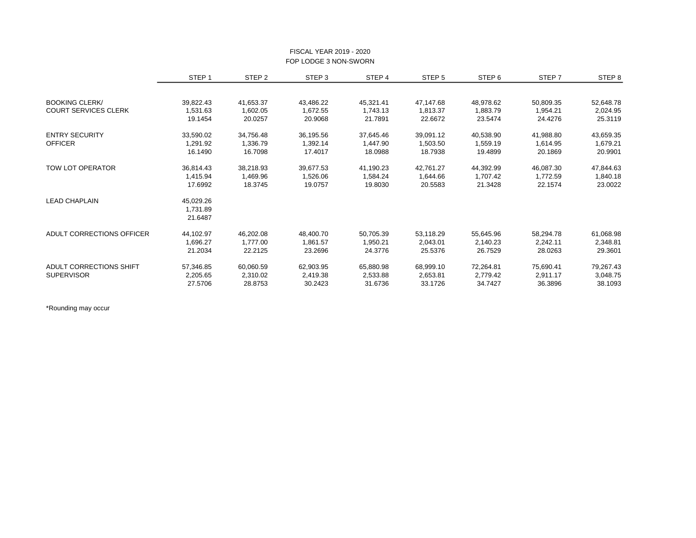|                             | STEP <sub>1</sub> | STEP <sub>2</sub> | STEP <sub>3</sub> | STEP 4    | STEP 5    | STEP <sub>6</sub> | STEP 7                                                                                                                                       | STEP <sub>8</sub> |
|-----------------------------|-------------------|-------------------|-------------------|-----------|-----------|-------------------|----------------------------------------------------------------------------------------------------------------------------------------------|-------------------|
|                             |                   |                   |                   |           |           |                   |                                                                                                                                              |                   |
| <b>BOOKING CLERK/</b>       | 39,822.43         | 41,653.37         | 43,486.22         | 45,321.41 | 47,147.68 | 48,978.62         | 50,809.35                                                                                                                                    | 52,648.78         |
| <b>COURT SERVICES CLERK</b> | 1,531.63          | 1,602.05          | 1,672.55          | 1,743.13  | 1.813.37  | 1,883.79          | 1,954.21                                                                                                                                     | 2,024.95          |
|                             | 19.1454           | 20.0257           | 20.9068           | 21.7891   | 22.6672   | 23.5474           | 24.4276<br>41,988.80<br>1,614.95<br>20.1869<br>46,087.30<br>1,772.59<br>22.1574<br>58,294.78<br>2,242.11<br>28.0263<br>75,690.41<br>2,911.17 | 25.3119           |
| <b>ENTRY SECURITY</b>       | 33,590.02         | 34,756.48         | 36,195.56         | 37,645.46 | 39,091.12 | 40,538.90         |                                                                                                                                              | 43,659.35         |
| <b>OFFICER</b>              | 1,291.92          | 1,336.79          | 1,392.14          | 1,447.90  | 1,503.50  | 1,559.19          |                                                                                                                                              | 1,679.21          |
|                             | 16.1490           | 16.7098           | 17.4017           | 18.0988   | 18.7938   | 19.4899           |                                                                                                                                              | 20.9901           |
| <b>TOW LOT OPERATOR</b>     | 36,814.43         | 38,218.93         | 39,677.53         | 41,190.23 | 42,761.27 | 44,392.99         |                                                                                                                                              | 47,844.63         |
|                             | 1,415.94          | 1,469.96          | 1,526.06          | 1,584.24  | 1,644.66  | 1,707.42          |                                                                                                                                              | 1,840.18          |
|                             | 17.6992           | 18.3745           | 19.0757           | 19.8030   | 20.5583   | 21.3428           |                                                                                                                                              | 23.0022           |
| <b>LEAD CHAPLAIN</b>        | 45,029.26         |                   |                   |           |           |                   |                                                                                                                                              |                   |
|                             | 1,731.89          |                   |                   |           |           |                   |                                                                                                                                              |                   |
|                             | 21.6487           |                   |                   |           |           |                   |                                                                                                                                              |                   |
| ADULT CORRECTIONS OFFICER   | 44,102.97         | 46,202.08         | 48,400.70         | 50,705.39 | 53,118.29 | 55,645.96         |                                                                                                                                              | 61,068.98         |
|                             | 1,696.27          | 1,777.00          | 1,861.57          | 1,950.21  | 2,043.01  | 2,140.23          |                                                                                                                                              | 2,348.81          |
|                             | 21.2034           | 22.2125           | 23.2696           | 24.3776   | 25.5376   | 26.7529           |                                                                                                                                              | 29.3601           |
| ADULT CORRECTIONS SHIFT     | 57,346.85         | 60,060.59         | 62,903.95         | 65,880.98 | 68,999.10 | 72,264.81         |                                                                                                                                              | 79,267.43         |
| <b>SUPERVISOR</b>           | 2,205.65          | 2,310.02          | 2,419.38          | 2,533.88  | 2,653.81  | 2,779.42          |                                                                                                                                              | 3,048.75          |
|                             | 27.5706           | 28.8753           | 30.2423           | 31.6736   | 33.1726   | 34.7427           | 36.3896                                                                                                                                      | 38.1093           |

#### FISCAL YEAR 2019 - 2020 FOP LODGE 3 NON-SWORN

\*Rounding may occur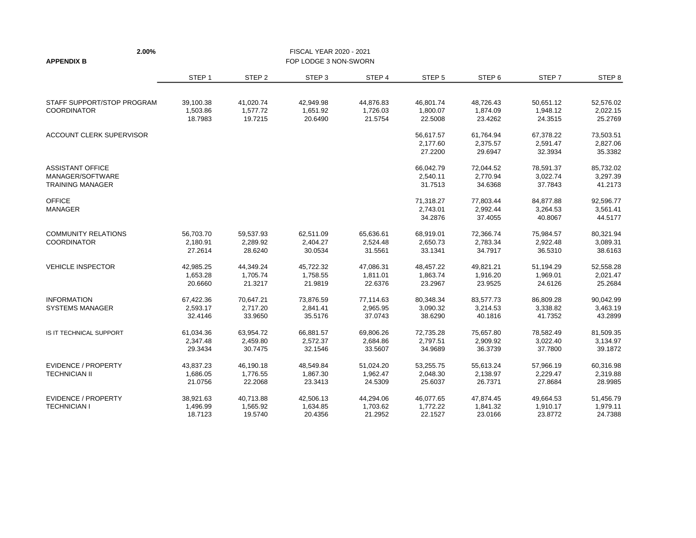| 2.00%                                       |                     |                     | FISCAL YEAR 2020 - 2021 |                     |                     |                     |                     |                     |
|---------------------------------------------|---------------------|---------------------|-------------------------|---------------------|---------------------|---------------------|---------------------|---------------------|
| <b>APPENDIX B</b>                           |                     |                     | FOP LODGE 3 NON-SWORN   |                     |                     |                     |                     |                     |
|                                             | STEP <sub>1</sub>   | STEP <sub>2</sub>   | STEP <sub>3</sub>       | STEP 4              | STEP <sub>5</sub>   | STEP <sub>6</sub>   | STEP 7              | STEP <sub>8</sub>   |
| STAFF SUPPORT/STOP PROGRAM                  | 39,100.38           | 41,020.74           | 42,949.98               | 44,876.83           | 46,801.74           | 48,726.43           | 50,651.12           | 52,576.02           |
| <b>COORDINATOR</b>                          | 1,503.86<br>18.7983 | 1,577.72<br>19.7215 | 1,651.92<br>20.6490     | 1,726.03<br>21.5754 | 1,800.07<br>22.5008 | 1,874.09<br>23.4262 | 1,948.12<br>24.3515 | 2,022.15<br>25.2769 |
| ACCOUNT CLERK SUPERVISOR                    |                     |                     |                         |                     | 56,617.57           | 61,764.94           | 67,378.22           | 73,503.51           |
|                                             |                     |                     |                         |                     | 2,177.60<br>27.2200 | 2,375.57<br>29.6947 | 2,591.47<br>32.3934 | 2,827.06<br>35.3382 |
| <b>ASSISTANT OFFICE</b>                     |                     |                     |                         |                     | 66,042.79           | 72,044.52           | 78,591.37           | 85,732.02           |
| MANAGER/SOFTWARE<br><b>TRAINING MANAGER</b> |                     |                     |                         |                     | 2,540.11<br>31.7513 | 2,770.94<br>34.6368 | 3,022.74<br>37.7843 | 3,297.39<br>41.2173 |
| <b>OFFICE</b>                               |                     |                     |                         |                     | 71,318.27           | 77,803.44           | 84,877.88           | 92,596.77           |
| <b>MANAGER</b>                              |                     |                     |                         |                     | 2,743.01<br>34.2876 | 2,992.44<br>37.4055 | 3,264.53<br>40.8067 | 3,561.41<br>44.5177 |
| <b>COMMUNITY RELATIONS</b>                  | 56.703.70           | 59,537.93           | 62,511.09               | 65.636.61           | 68,919.01           | 72,366.74           | 75,984.57           | 80.321.94           |
| <b>COORDINATOR</b>                          | 2,180.91<br>27.2614 | 2,289.92<br>28.6240 | 2,404.27<br>30.0534     | 2,524.48<br>31.5561 | 2,650.73<br>33.1341 | 2,783.34<br>34.7917 | 2,922.48<br>36.5310 | 3,089.31<br>38.6163 |
| <b>VEHICLE INSPECTOR</b>                    | 42,985.25           | 44,349.24           | 45,722.32               | 47,086.31           | 48,457.22           | 49,821.21           | 51,194.29           | 52,558.28           |
|                                             | 1,653.28<br>20.6660 | 1,705.74<br>21.3217 | 1,758.55<br>21.9819     | 1,811.01<br>22.6376 | 1,863.74<br>23.2967 | 1,916.20<br>23.9525 | 1,969.01<br>24.6126 | 2,021.47<br>25.2684 |
| <b>INFORMATION</b>                          | 67,422.36           | 70,647.21           | 73,876.59               | 77,114.63           | 80,348.34           | 83,577.73           | 86,809.28           | 90,042.99           |
| <b>SYSTEMS MANAGER</b>                      | 2,593.17<br>32.4146 | 2,717.20<br>33.9650 | 2,841.41<br>35.5176     | 2,965.95<br>37.0743 | 3,090.32<br>38.6290 | 3,214.53<br>40.1816 | 3,338.82<br>41.7352 | 3,463.19<br>43.2899 |
| IS IT TECHNICAL SUPPORT                     | 61,034.36           | 63,954.72           | 66,881.57               | 69,806.26           | 72,735.28           | 75,657.80           | 78,582.49           | 81,509.35           |
|                                             | 2,347.48<br>29.3434 | 2,459.80<br>30.7475 | 2,572.37<br>32.1546     | 2,684.86<br>33.5607 | 2,797.51<br>34.9689 | 2,909.92<br>36.3739 | 3,022.40<br>37.7800 | 3,134.97<br>39.1872 |
| <b>EVIDENCE / PROPERTY</b>                  | 43,837.23           | 46,190.18           | 48,549.84               | 51,024.20           | 53,255.75           | 55,613.24           | 57,966.19           | 60,316.98           |
| <b>TECHNICIAN II</b>                        | 1,686.05<br>21.0756 | 1,776.55<br>22.2068 | 1,867.30<br>23.3413     | 1,962.47<br>24.5309 | 2,048.30<br>25.6037 | 2,138.97<br>26.7371 | 2,229.47<br>27.8684 | 2,319.88<br>28.9985 |
| <b>EVIDENCE / PROPERTY</b>                  | 38,921.63           | 40,713.88           | 42,506.13               | 44,294.06           | 46,077.65           | 47,874.45           | 49,664.53           | 51,456.79           |
| <b>TECHNICIAN I</b>                         | 1,496.99<br>18.7123 | 1,565.92<br>19.5740 | 1,634.85<br>20.4356     | 1,703.62<br>21.2952 | 1,772.22<br>22.1527 | 1,841.32<br>23.0166 | 1,910.17<br>23.8772 | 1,979.11<br>24.7388 |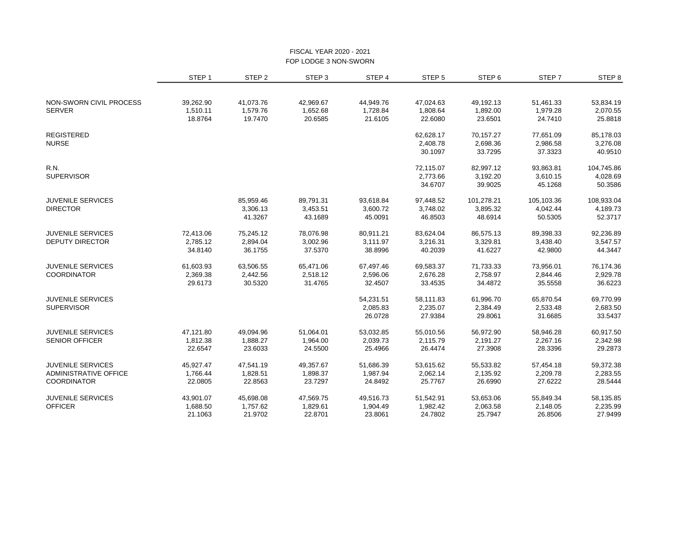#### FISCAL YEAR 2020 - 2021 FOP LODGE 3 NON-SWORN

|                              | STEP <sub>1</sub> | STEP <sub>2</sub> | STEP <sub>3</sub> | STEP 4    | STEP <sub>5</sub> | STEP <sub>6</sub> | STEP 7     | STEP <sub>8</sub> |
|------------------------------|-------------------|-------------------|-------------------|-----------|-------------------|-------------------|------------|-------------------|
|                              |                   |                   |                   |           |                   |                   |            |                   |
| NON-SWORN CIVIL PROCESS      | 39,262.90         | 41,073.76         | 42,969.67         | 44,949.76 | 47,024.63         | 49,192.13         | 51,461.33  | 53,834.19         |
| <b>SERVER</b>                | 1,510.11          | 1,579.76          | 1,652.68          | 1,728.84  | 1,808.64          | 1,892.00          | 1,979.28   | 2,070.55          |
|                              | 18.8764           | 19.7470           | 20.6585           | 21.6105   | 22.6080           | 23.6501           | 24.7410    | 25.8818           |
| <b>REGISTERED</b>            |                   |                   |                   |           | 62,628.17         | 70,157.27         | 77,651.09  | 85,178.03         |
| <b>NURSE</b>                 |                   |                   |                   |           | 2,408.78          | 2,698.36          | 2,986.58   | 3,276.08          |
|                              |                   |                   |                   |           | 30.1097           | 33.7295           | 37.3323    | 40.9510           |
| <b>R.N.</b>                  |                   |                   |                   |           | 72,115.07         | 82,997.12         | 93,863.81  | 104,745.86        |
| <b>SUPERVISOR</b>            |                   |                   |                   |           | 2,773.66          | 3,192.20          | 3,610.15   | 4,028.69          |
|                              |                   |                   |                   |           | 34.6707           | 39.9025           | 45.1268    | 50.3586           |
| <b>JUVENILE SERVICES</b>     |                   | 85,959.46         | 89,791.31         | 93,618.84 | 97,448.52         | 101,278.21        | 105,103.36 | 108.933.04        |
| <b>DIRECTOR</b>              |                   | 3,306.13          | 3,453.51          | 3,600.72  | 3,748.02          | 3,895.32          | 4,042.44   | 4,189.73          |
|                              |                   | 41.3267           | 43.1689           | 45.0091   | 46.8503           | 48.6914           | 50.5305    | 52.3717           |
| <b>JUVENILE SERVICES</b>     | 72,413.06         | 75,245.12         | 78,076.98         | 80,911.21 | 83,624.04         | 86,575.13         | 89,398.33  | 92,236.89         |
| <b>DEPUTY DIRECTOR</b>       | 2,785.12          | 2,894.04          | 3,002.96          | 3,111.97  | 3,216.31          | 3,329.81          | 3,438.40   | 3,547.57          |
|                              | 34.8140           | 36.1755           | 37.5370           | 38.8996   | 40.2039           | 41.6227           | 42.9800    | 44.3447           |
| <b>JUVENILE SERVICES</b>     | 61,603.93         | 63,506.55         | 65,471.06         | 67,497.46 | 69,583.37         | 71,733.33         | 73,956.01  | 76,174.36         |
| <b>COORDINATOR</b>           | 2,369.38          | 2,442.56          | 2,518.12          | 2,596.06  | 2,676.28          | 2,758.97          | 2,844.46   | 2,929.78          |
|                              | 29.6173           | 30.5320           | 31.4765           | 32.4507   | 33.4535           | 34.4872           | 35.5558    | 36.6223           |
| <b>JUVENILE SERVICES</b>     |                   |                   |                   | 54,231.51 | 58,111.83         | 61,996.70         | 65,870.54  | 69,770.99         |
| <b>SUPERVISOR</b>            |                   |                   |                   | 2,085.83  | 2,235.07          | 2,384.49          | 2,533.48   | 2,683.50          |
|                              |                   |                   |                   | 26.0728   | 27.9384           | 29.8061           | 31.6685    | 33.5437           |
| <b>JUVENILE SERVICES</b>     | 47,121.80         | 49,094.96         | 51,064.01         | 53,032.85 | 55,010.56         | 56,972.90         | 58,946.28  | 60,917.50         |
| <b>SENIOR OFFICER</b>        | 1,812.38          | 1,888.27          | 1,964.00          | 2,039.73  | 2,115.79          | 2,191.27          | 2,267.16   | 2,342.98          |
|                              | 22.6547           | 23.6033           | 24.5500           | 25.4966   | 26.4474           | 27.3908           | 28.3396    | 29.2873           |
| <b>JUVENILE SERVICES</b>     | 45,927.47         | 47,541.19         | 49,357.67         | 51,686.39 | 53,615.62         | 55,533.82         | 57,454.18  | 59,372.38         |
| <b>ADMINISTRATIVE OFFICE</b> | 1,766.44          | 1,828.51          | 1,898.37          | 1,987.94  | 2,062.14          | 2,135.92          | 2,209.78   | 2,283.55          |
| <b>COORDINATOR</b>           | 22.0805           | 22.8563           | 23.7297           | 24.8492   | 25.7767           | 26.6990           | 27.6222    | 28.5444           |
| <b>JUVENILE SERVICES</b>     | 43,901.07         | 45,698.08         | 47,569.75         | 49,516.73 | 51,542.91         | 53,653.06         | 55,849.34  | 58,135.85         |
| <b>OFFICER</b>               | 1,688.50          | 1,757.62          | 1,829.61          | 1,904.49  | 1,982.42          | 2,063.58          | 2,148.05   | 2,235.99          |
|                              | 21.1063           | 21.9702           | 22.8701           | 23.8061   | 24.7802           | 25.7947           | 26.8506    | 27.9499           |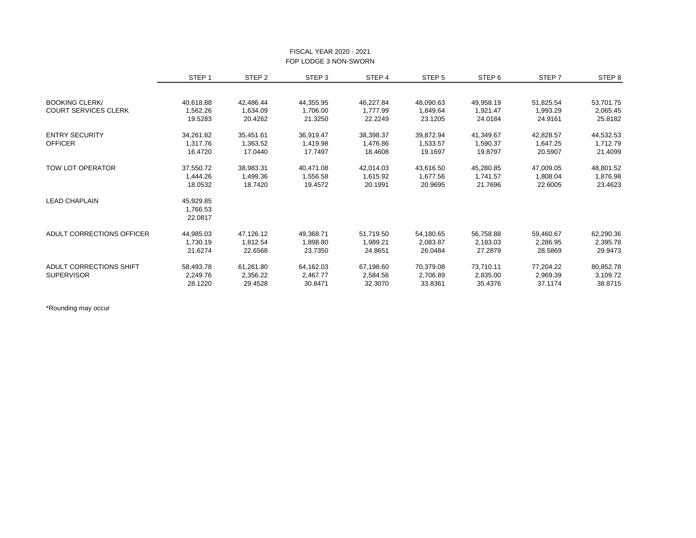|                             | STEP <sub>1</sub> | STEP <sub>2</sub> | STEP <sub>3</sub> | STEP 4    | STEP <sub>5</sub> | STEP <sub>6</sub> | STEP 7                                                                                                                                                  | STEP 8    |
|-----------------------------|-------------------|-------------------|-------------------|-----------|-------------------|-------------------|---------------------------------------------------------------------------------------------------------------------------------------------------------|-----------|
|                             |                   |                   |                   |           |                   |                   |                                                                                                                                                         |           |
| <b>BOOKING CLERK/</b>       | 40,618.88         | 42,486.44         | 44,355.95         | 46,227.84 | 48,090.63         | 49,958.19         | 51,825.54                                                                                                                                               | 53,701.75 |
| <b>COURT SERVICES CLERK</b> | 1,562.26          | 1,634.09          | 1,706.00          | 1,777.99  | 1,849.64          | 1,921.47          | 1,993.29                                                                                                                                                | 2,065.45  |
|                             | 19.5283           | 20.4262           | 21.3250           | 22.2249   | 23.1205           | 24.0184           | 24.9161<br>42,828.57<br>1,647.25<br>20.5907<br>47,009.05<br>1,808.04<br>22.6005<br>59,460.67<br>2,286.95<br>28.5869<br>77,204.22<br>2,969.39<br>37.1174 | 25.8182   |
| <b>ENTRY SECURITY</b>       | 34,261.82         | 35,451.61         | 36,919.47         | 38,398.37 | 39,872.94         | 41,349.67         |                                                                                                                                                         | 44,532.53 |
| <b>OFFICER</b>              | 1,317.76          | 1,363.52          | 1,419.98          | 1,476.86  | 1,533.57          | 1,590.37          |                                                                                                                                                         | 1,712.79  |
|                             | 16.4720           | 17.0440           | 17.7497           | 18.4608   | 19.1697           | 19.8797           |                                                                                                                                                         | 21.4099   |
| <b>TOW LOT OPERATOR</b>     | 37,550.72         | 38,983.31         | 40,471.08         | 42,014.03 | 43,616.50         | 45,280.85         |                                                                                                                                                         | 48,801.52 |
|                             | 1,444.26          | 1,499.36          | 1,556.58          | 1,615.92  | 1.677.56          | 1,741.57          |                                                                                                                                                         | 1,876.98  |
|                             | 18.0532           | 18.7420           | 19.4572           | 20.1991   | 20.9695           | 21.7696           |                                                                                                                                                         | 23.4623   |
| <b>LEAD CHAPLAIN</b>        | 45,929.85         |                   |                   |           |                   |                   |                                                                                                                                                         |           |
|                             | 1,766.53          |                   |                   |           |                   |                   |                                                                                                                                                         |           |
|                             | 22.0817           |                   |                   |           |                   |                   |                                                                                                                                                         |           |
| ADULT CORRECTIONS OFFICER   | 44,985.03         | 47,126.12         | 49,368.71         | 51,719.50 | 54,180.65         | 56,758.88         |                                                                                                                                                         | 62,290.36 |
|                             | 1,730.19          | 1,812.54          | 1,898.80          | 1,989.21  | 2,083.87          | 2,183.03          |                                                                                                                                                         | 2,395.78  |
|                             | 21.6274           | 22.6568           | 23.7350           | 24.8651   | 26.0484           | 27.2879           |                                                                                                                                                         | 29.9473   |
| ADULT CORRECTIONS SHIFT     | 58,493.78         | 61,261.80         | 64,162.03         | 67,198.60 | 70,379.08         | 73,710.11         |                                                                                                                                                         | 80,852.78 |
| <b>SUPERVISOR</b>           | 2,249.76          | 2,356.22          | 2,467.77          | 2,584.56  | 2,706.89          | 2,835.00          |                                                                                                                                                         | 3,109.72  |
|                             | 28.1220           | 29.4528           | 30.8471           | 32.3070   | 33.8361           | 35.4376           |                                                                                                                                                         | 38.8715   |

#### FISCAL YEAR 2020 - 2021 FOP LODGE 3 NON-SWORN

\*Rounding may occur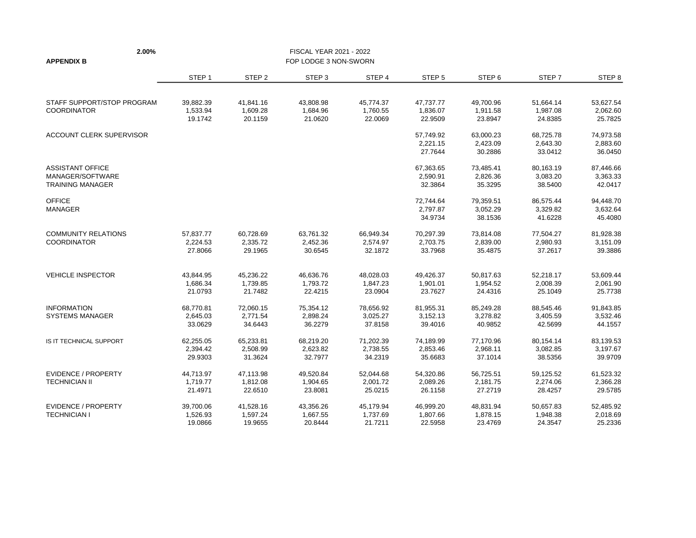| 2.00%                                       |                       |                       | FISCAL YEAR 2021 - 2022 |                     |                       |                       |                       |                       |
|---------------------------------------------|-----------------------|-----------------------|-------------------------|---------------------|-----------------------|-----------------------|-----------------------|-----------------------|
| <b>APPENDIX B</b>                           |                       |                       | FOP LODGE 3 NON-SWORN   |                     |                       |                       |                       |                       |
|                                             | STEP <sub>1</sub>     | STEP <sub>2</sub>     | STEP <sub>3</sub>       | STEP 4              | STEP <sub>5</sub>     | STEP <sub>6</sub>     | STEP 7                | STEP 8                |
| STAFF SUPPORT/STOP PROGRAM                  | 39,882.39             | 41,841.16             | 43,808.98               | 45,774.37           | 47,737.77             | 49,700.96             | 51,664.14             | 53,627.54             |
| <b>COORDINATOR</b>                          | 1,533.94<br>19.1742   | 1,609.28<br>20.1159   | 1,684.96<br>21.0620     | 1,760.55<br>22.0069 | 1,836.07<br>22.9509   | 1,911.58<br>23.8947   | 1,987.08<br>24.8385   | 2,062.60<br>25.7825   |
| ACCOUNT CLERK SUPERVISOR                    |                       |                       |                         |                     | 57,749.92             | 63,000.23             | 68,725.78             | 74,973.58<br>2,883.60 |
|                                             |                       |                       |                         |                     | 2,221.15<br>27.7644   | 2,423.09<br>30.2886   | 2,643.30<br>33.0412   | 36.0450               |
| <b>ASSISTANT OFFICE</b><br>MANAGER/SOFTWARE |                       |                       |                         |                     | 67,363.65<br>2,590.91 | 73,485.41<br>2,826.36 | 80,163.19<br>3,083.20 | 87,446.66<br>3,363.33 |
| <b>TRAINING MANAGER</b>                     |                       |                       |                         |                     | 32.3864               | 35.3295               | 38.5400               | 42.0417               |
| <b>OFFICE</b>                               |                       |                       |                         |                     | 72,744.64             | 79,359.51             | 86,575.44             | 94,448.70             |
| <b>MANAGER</b>                              |                       |                       |                         |                     | 2,797.87<br>34.9734   | 3,052.29<br>38.1536   | 3,329.82<br>41.6228   | 3,632.64<br>45.4080   |
| <b>COMMUNITY RELATIONS</b>                  | 57,837.77             | 60,728.69             | 63,761.32               | 66,949.34           | 70,297.39             | 73,814.08             | 77,504.27             | 81,928.38             |
| <b>COORDINATOR</b>                          | 2,224.53<br>27.8066   | 2,335.72<br>29.1965   | 2,452.36<br>30.6545     | 2,574.97<br>32.1872 | 2,703.75<br>33.7968   | 2,839.00<br>35.4875   | 2,980.93<br>37.2617   | 3,151.09<br>39.3886   |
| <b>VEHICLE INSPECTOR</b>                    | 43,844.95             | 45,236.22             | 46,636.76               | 48,028.03           | 49,426.37             | 50,817.63             | 52,218.17             | 53,609.44             |
|                                             | 1,686.34<br>21.0793   | 1,739.85<br>21.7482   | 1,793.72<br>22.4215     | 1,847.23<br>23.0904 | 1,901.01<br>23.7627   | 1,954.52<br>24.4316   | 2,008.39<br>25.1049   | 2,061.90<br>25.7738   |
| <b>INFORMATION</b>                          | 68,770.81             | 72,060.15             | 75,354.12               | 78,656.92           | 81,955.31             | 85,249.28             | 88,545.46             | 91,843.85             |
| <b>SYSTEMS MANAGER</b>                      | 2,645.03<br>33.0629   | 2,771.54<br>34.6443   | 2,898.24<br>36.2279     | 3,025.27<br>37.8158 | 3,152.13<br>39.4016   | 3,278.82<br>40.9852   | 3,405.59<br>42.5699   | 3,532.46<br>44.1557   |
| IS IT TECHNICAL SUPPORT                     | 62,255.05<br>2,394.42 | 65,233.81<br>2,508.99 | 68,219.20<br>2,623.82   | 71,202.39           | 74,189.99<br>2,853.46 | 77,170.96             | 80,154.14             | 83,139.53<br>3,197.67 |
|                                             | 29.9303               | 31.3624               | 32.7977                 | 2,738.55<br>34.2319 | 35.6683               | 2,968.11<br>37.1014   | 3,082.85<br>38.5356   | 39.9709               |
| <b>EVIDENCE / PROPERTY</b>                  | 44,713.97             | 47,113.98             | 49,520.84               | 52,044.68           | 54,320.86             | 56,725.51             | 59,125.52             | 61,523.32             |
| <b>TECHNICIAN II</b>                        | 1,719.77<br>21.4971   | 1,812.08<br>22.6510   | 1,904.65<br>23.8081     | 2,001.72<br>25.0215 | 2,089.26<br>26.1158   | 2,181.75<br>27.2719   | 2,274.06<br>28.4257   | 2,366.28<br>29.5785   |
| <b>EVIDENCE / PROPERTY</b>                  | 39,700.06             | 41,528.16             | 43,356.26               | 45,179.94           | 46,999.20             | 48,831.94             | 50,657.83             | 52,485.92             |
| <b>TECHNICIAN I</b>                         | 1,526.93<br>19.0866   | 1,597.24<br>19.9655   | 1,667.55<br>20.8444     | 1,737.69<br>21.7211 | 1,807.66<br>22.5958   | 1,878.15<br>23.4769   | 1,948.38<br>24.3547   | 2,018.69<br>25.2336   |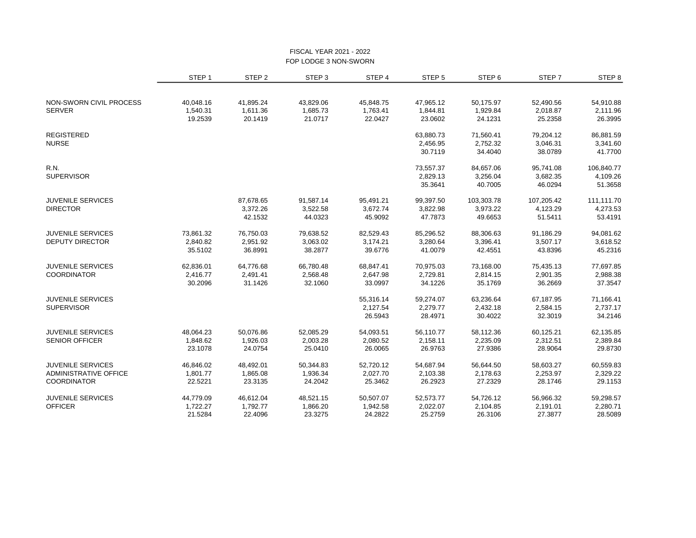#### FISCAL YEAR 2021 - 2022 FOP LODGE 3 NON-SWORN

|                          | STEP <sub>1</sub> | STEP <sub>2</sub> | STEP <sub>3</sub> | STEP 4    | STEP <sub>5</sub> | STEP <sub>6</sub> | STEP <sub>7</sub> | STEP <sub>8</sub> |
|--------------------------|-------------------|-------------------|-------------------|-----------|-------------------|-------------------|-------------------|-------------------|
|                          |                   |                   |                   |           |                   |                   |                   |                   |
| NON-SWORN CIVIL PROCESS  | 40,048.16         | 41,895.24         | 43,829.06         | 45,848.75 | 47,965.12         | 50,175.97         | 52,490.56         | 54,910.88         |
| <b>SERVER</b>            | 1,540.31          | 1,611.36          | 1,685.73          | 1,763.41  | 1,844.81          | 1,929.84          | 2,018.87          | 2,111.96          |
|                          | 19.2539           | 20.1419           | 21.0717           | 22.0427   | 23.0602           | 24.1231           | 25.2358           | 26.3995           |
| <b>REGISTERED</b>        |                   |                   |                   |           | 63,880.73         | 71,560.41         | 79,204.12         | 86,881.59         |
| <b>NURSE</b>             |                   |                   |                   |           | 2,456.95          | 2,752.32          | 3,046.31          | 3,341.60          |
|                          |                   |                   |                   |           | 30.7119           | 34.4040           | 38.0789           | 41.7700           |
| R.N.                     |                   |                   |                   |           | 73,557.37         | 84,657.06         | 95,741.08         | 106,840.77        |
| <b>SUPERVISOR</b>        |                   |                   |                   |           | 2,829.13          | 3,256.04          | 3,682.35          | 4,109.26          |
|                          |                   |                   |                   |           | 35.3641           | 40.7005           | 46.0294           | 51.3658           |
| <b>JUVENILE SERVICES</b> |                   | 87,678.65         | 91,587.14         | 95,491.21 | 99,397.50         | 103,303.78        | 107,205.42        | 111,111.70        |
| <b>DIRECTOR</b>          |                   | 3,372.26          | 3,522.58          | 3,672.74  | 3,822.98          | 3,973.22          | 4,123.29          | 4,273.53          |
|                          |                   | 42.1532           | 44.0323           | 45.9092   | 47.7873           | 49.6653           | 51.5411           | 53.4191           |
| <b>JUVENILE SERVICES</b> | 73,861.32         | 76,750.03         | 79,638.52         | 82,529.43 | 85,296.52         | 88,306.63         | 91,186.29         | 94,081.62         |
| <b>DEPUTY DIRECTOR</b>   | 2,840.82          | 2,951.92          | 3,063.02          | 3,174.21  | 3,280.64          | 3,396.41          | 3,507.17          | 3,618.52          |
|                          | 35.5102           | 36.8991           | 38.2877           | 39.6776   | 41.0079           | 42.4551           | 43.8396           | 45.2316           |
| <b>JUVENILE SERVICES</b> | 62,836.01         | 64,776.68         | 66,780.48         | 68,847.41 | 70,975.03         | 73,168.00         | 75,435.13         | 77,697.85         |
| <b>COORDINATOR</b>       | 2,416.77          | 2,491.41          | 2,568.48          | 2,647.98  | 2,729.81          | 2,814.15          | 2,901.35          | 2,988.38          |
|                          | 30.2096           | 31.1426           | 32.1060           | 33.0997   | 34.1226           | 35.1769           | 36.2669           | 37.3547           |
| <b>JUVENILE SERVICES</b> |                   |                   |                   | 55,316.14 | 59,274.07         | 63,236.64         | 67,187.95         | 71,166.41         |
| <b>SUPERVISOR</b>        |                   |                   |                   | 2,127.54  | 2,279.77          | 2,432.18          | 2,584.15          | 2,737.17          |
|                          |                   |                   |                   | 26.5943   | 28.4971           | 30.4022           | 32.3019           | 34.2146           |
| <b>JUVENILE SERVICES</b> | 48,064.23         | 50,076.86         | 52,085.29         | 54,093.51 | 56,110.77         | 58,112.36         | 60,125.21         | 62,135.85         |
| <b>SENIOR OFFICER</b>    | 1,848.62          | 1,926.03          | 2,003.28          | 2,080.52  | 2,158.11          | 2,235.09          | 2,312.51          | 2,389.84          |
|                          | 23.1078           | 24.0754           | 25.0410           | 26.0065   | 26.9763           | 27.9386           | 28.9064           | 29.8730           |
| <b>JUVENILE SERVICES</b> | 46,846.02         | 48,492.01         | 50,344.83         | 52,720.12 | 54,687.94         | 56,644.50         | 58,603.27         | 60,559.83         |
| ADMINISTRATIVE OFFICE    | 1,801.77          | 1,865.08          | 1,936.34          | 2,027.70  | 2,103.38          | 2,178.63          | 2,253.97          | 2,329.22          |
| <b>COORDINATOR</b>       | 22.5221           | 23.3135           | 24.2042           | 25.3462   | 26.2923           | 27.2329           | 28.1746           | 29.1153           |
| <b>JUVENILE SERVICES</b> | 44,779.09         | 46,612.04         | 48,521.15         | 50,507.07 | 52,573.77         | 54,726.12         | 56,966.32         | 59,298.57         |
| <b>OFFICER</b>           | 1,722.27          | 1,792.77          | 1,866.20          | 1,942.58  | 2,022.07          | 2,104.85          | 2,191.01          | 2,280.71          |
|                          | 21.5284           | 22.4096           | 23.3275           | 24.2822   | 25.2759           | 26.3106           | 27.3877           | 28.5089           |